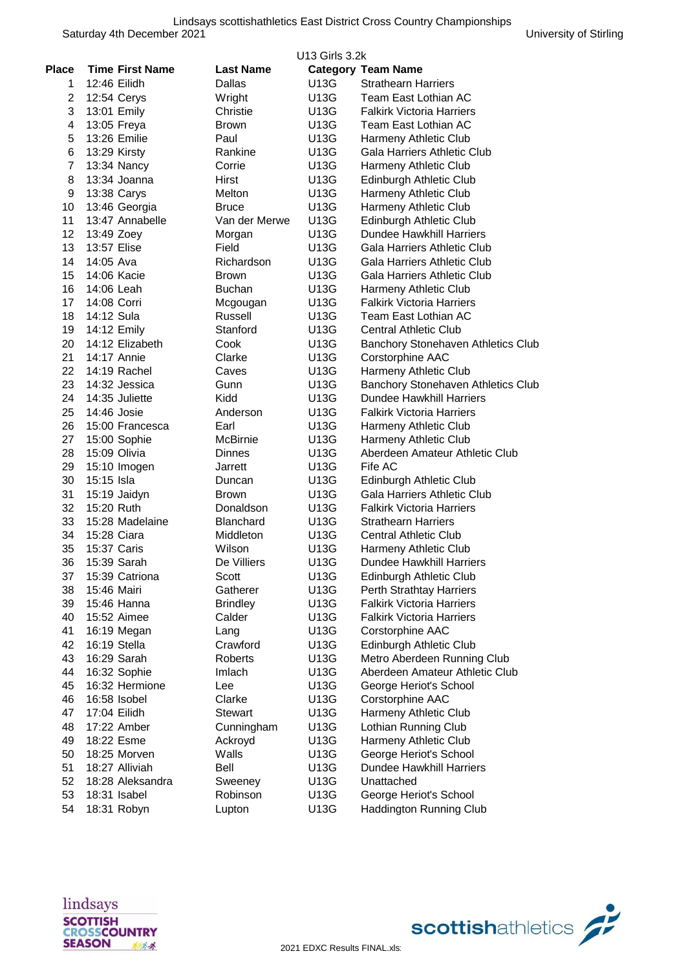|                | U13 Girls 3.2k         |                  |      |                                    |  |
|----------------|------------------------|------------------|------|------------------------------------|--|
| <b>Place</b>   | <b>Time First Name</b> | <b>Last Name</b> |      | <b>Category Team Name</b>          |  |
| 1.             | 12:46 Eilidh           | Dallas           | U13G | <b>Strathearn Harriers</b>         |  |
| $\overline{2}$ | 12:54 Cerys            | Wright           | U13G | Team East Lothian AC               |  |
| 3              | 13:01 Emily            | Christie         | U13G | <b>Falkirk Victoria Harriers</b>   |  |
| 4              | 13:05 Freya            | <b>Brown</b>     | U13G | Team East Lothian AC               |  |
| 5              | 13:26 Emilie           | Paul             | U13G | Harmeny Athletic Club              |  |
| 6              | 13:29 Kirsty           | Rankine          | U13G | Gala Harriers Athletic Club        |  |
| $\overline{7}$ | 13:34 Nancy            | Corrie           | U13G | Harmeny Athletic Club              |  |
| 8              | 13:34 Joanna           | Hirst            | U13G | Edinburgh Athletic Club            |  |
| 9              | 13:38 Carys            | <b>Melton</b>    | U13G | Harmeny Athletic Club              |  |
| 10             | 13:46 Georgia          | <b>Bruce</b>     | U13G | Harmeny Athletic Club              |  |
| 11             | 13:47 Annabelle        | Van der Merwe    | U13G | Edinburgh Athletic Club            |  |
| 12             | 13:49 Zoey             | Morgan           | U13G | Dundee Hawkhill Harriers           |  |
| 13             | 13:57 Elise            | Field            | U13G | Gala Harriers Athletic Club        |  |
| 14             | 14:05 Ava              | Richardson       | U13G | Gala Harriers Athletic Club        |  |
| 15             | 14:06 Kacie            | Brown            | U13G | Gala Harriers Athletic Club        |  |
| 16             | 14:06 Leah             | <b>Buchan</b>    | U13G | Harmeny Athletic Club              |  |
| 17             | 14:08 Corri            | Mcgougan         | U13G | <b>Falkirk Victoria Harriers</b>   |  |
| 18             | 14:12 Sula             | Russell          | U13G | Team East Lothian AC               |  |
| 19             | 14:12 Emily            | Stanford         | U13G | <b>Central Athletic Club</b>       |  |
| 20             | 14:12 Elizabeth        | Cook             | U13G | Banchory Stonehaven Athletics Club |  |
| 21             | 14:17 Annie            | Clarke           | U13G | Corstorphine AAC                   |  |
| 22             | 14:19 Rachel           | Caves            | U13G | Harmeny Athletic Club              |  |
| 23             | 14:32 Jessica          | Gunn             | U13G | Banchory Stonehaven Athletics Club |  |
| 24             | 14:35 Juliette         | Kidd             | U13G | <b>Dundee Hawkhill Harriers</b>    |  |
| 25             | 14:46 Josie            | Anderson         | U13G | <b>Falkirk Victoria Harriers</b>   |  |
| 26             | 15:00 Francesca        | Earl             | U13G | Harmeny Athletic Club              |  |
| 27             | 15:00 Sophie           | McBirnie         | U13G | Harmeny Athletic Club              |  |
| 28             | 15:09 Olivia           | <b>Dinnes</b>    | U13G | Aberdeen Amateur Athletic Club     |  |
| 29             | 15:10 Imogen           | Jarrett          | U13G | Fife AC                            |  |
| 30             | 15:15 Isla             | Duncan           | U13G | Edinburgh Athletic Club            |  |
| 31             | 15:19 Jaidyn           | Brown            | U13G | Gala Harriers Athletic Club        |  |
| 32             | 15:20 Ruth             | Donaldson        | U13G | <b>Falkirk Victoria Harriers</b>   |  |
| 33             | 15:28 Madelaine        | Blanchard        | U13G | <b>Strathearn Harriers</b>         |  |
| 34             | 15:28 Ciara            | Middleton        | U13G | <b>Central Athletic Club</b>       |  |
| 35             | 15:37 Caris            | Wilson           | U13G | Harmeny Athletic Club              |  |
| 36             | 15:39 Sarah            | De Villiers      | U13G | Dundee Hawkhill Harriers           |  |
| 37             | 15:39 Catriona         | Scott            | U13G | Edinburgh Athletic Club            |  |
| 38             | 15:46 Mairi            | Gatherer         | U13G | <b>Perth Strathtay Harriers</b>    |  |
| 39             | 15:46 Hanna            | <b>Brindley</b>  | U13G | <b>Falkirk Victoria Harriers</b>   |  |
| 40             | 15:52 Aimee            | Calder           | U13G | <b>Falkirk Victoria Harriers</b>   |  |
| 41             | 16:19 Megan            | Lang             | U13G | Corstorphine AAC                   |  |
| 42             | 16:19 Stella           | Crawford         | U13G | Edinburgh Athletic Club            |  |
| 43             | 16:29 Sarah            | Roberts          | U13G | Metro Aberdeen Running Club        |  |
| 44             | 16:32 Sophie           | Imlach           | U13G | Aberdeen Amateur Athletic Club     |  |
| 45             | 16:32 Hermione         | Lee              | U13G | George Heriot's School             |  |
| 46             | 16:58 Isobel           | Clarke           | U13G | Corstorphine AAC                   |  |
| 47             | 17:04 Eilidh           | Stewart          | U13G | Harmeny Athletic Club              |  |
| 48             | 17:22 Amber            | Cunningham       | U13G | Lothian Running Club               |  |
| 49             | 18:22 Esme             | Ackroyd          | U13G | Harmeny Athletic Club              |  |
| 50             | 18:25 Morven           | Walls            | U13G | George Heriot's School             |  |
| 51             | 18:27 Alliviah         | Bell             | U13G | Dundee Hawkhill Harriers           |  |
| 52             | 18:28 Aleksandra       | Sweeney          | U13G | Unattached                         |  |
| 53             | 18:31 Isabel           | Robinson         | U13G | George Heriot's School             |  |
| 54             | 18:31 Robyn            | Lupton           | U13G | Haddington Running Club            |  |

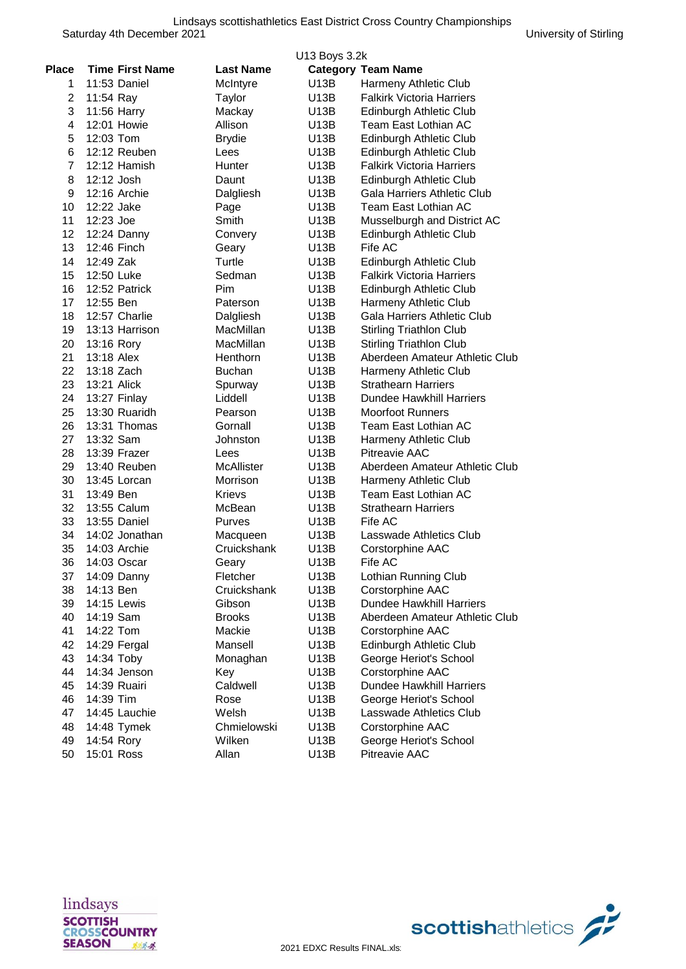|                |                        |                  | U13 Boys 3.2k |                                  |
|----------------|------------------------|------------------|---------------|----------------------------------|
| <b>Place</b>   | <b>Time First Name</b> | <b>Last Name</b> |               | <b>Category Team Name</b>        |
| 1.             | 11:53 Daniel           | McIntyre         | U13B          | Harmeny Athletic Club            |
| 2              | 11:54 Ray              | Taylor           | U13B          | <b>Falkirk Victoria Harriers</b> |
| 3              | 11:56 Harry            | Mackay           | U13B          | Edinburgh Athletic Club          |
| 4              | 12:01 Howie            | Allison          | U13B          | Team East Lothian AC             |
| 5              | 12:03 Tom              | <b>Brydie</b>    | U13B          | Edinburgh Athletic Club          |
| 6              | 12:12 Reuben           | Lees             | U13B          | Edinburgh Athletic Club          |
| $\overline{7}$ | 12:12 Hamish           | Hunter           | U13B          | <b>Falkirk Victoria Harriers</b> |
| 8              | 12:12 Josh             | Daunt            | U13B          | Edinburgh Athletic Club          |
| 9              | 12:16 Archie           | Dalgliesh        | U13B          | Gala Harriers Athletic Club      |
| 10             | 12:22 Jake             | Page             | U13B          | <b>Team East Lothian AC</b>      |
| 11             | $12:23$ Joe            | Smith            | U13B          | Musselburgh and District AC      |
| 12             | 12:24 Danny            | Convery          | U13B          | Edinburgh Athletic Club          |
| 13             | 12:46 Finch            | Geary            | U13B          | Fife AC                          |
| 14             | 12:49 Zak              | Turtle           | U13B          | Edinburgh Athletic Club          |
| 15             | 12:50 Luke             | Sedman           | U13B          | <b>Falkirk Victoria Harriers</b> |
| 16             | 12:52 Patrick          | Pim              | U13B          | Edinburgh Athletic Club          |
| 17             | 12:55 Ben              | Paterson         | U13B          | Harmeny Athletic Club            |
| 18             | 12:57 Charlie          | Dalgliesh        | U13B          | Gala Harriers Athletic Club      |
| 19             | 13:13 Harrison         | MacMillan        | U13B          | <b>Stirling Triathlon Club</b>   |
| 20             | 13:16 Rory             | MacMillan        | U13B          | <b>Stirling Triathlon Club</b>   |
| 21             | 13:18 Alex             | Henthorn         | U13B          | Aberdeen Amateur Athletic Club   |
| 22             | 13:18 Zach             | <b>Buchan</b>    | U13B          | Harmeny Athletic Club            |
| 23             | 13:21 Alick            | Spurway          | U13B          | <b>Strathearn Harriers</b>       |
| 24             | 13:27 Finlay           | Liddell          | U13B          | <b>Dundee Hawkhill Harriers</b>  |
| 25             | 13:30 Ruaridh          | Pearson          | U13B          | <b>Moorfoot Runners</b>          |
| 26             | 13:31 Thomas           | Gornall          | U13B          | Team East Lothian AC             |
| 27             | 13:32 Sam              | Johnston         | U13B          | Harmeny Athletic Club            |
| 28             | 13:39 Frazer           | Lees             | U13B          | <b>Pitreavie AAC</b>             |
| 29             | 13:40 Reuben           | McAllister       | U13B          | Aberdeen Amateur Athletic Club   |
| 30             | 13:45 Lorcan           | Morrison         | U13B          | Harmeny Athletic Club            |
| 31             | 13:49 Ben              | Krievs           | U13B          | Team East Lothian AC             |
| 32             | 13:55 Calum            | McBean           | U13B          | <b>Strathearn Harriers</b>       |
| 33             | 13:55 Daniel           | Purves           | U13B          | Fife AC                          |
| 34             | 14:02 Jonathan         | Macqueen         | U13B          | Lasswade Athletics Club          |
| 35             | 14:03 Archie           | Cruickshank      | U13B          | Corstorphine AAC                 |
| 36             | 14:03 Oscar            | Geary            | U13B          | Fife AC                          |
| 37             | $14:09$ Danny          | Fletcher         | U13B          | Lothian Running Club             |
| 38             | 14:13 Ben              | Cruickshank      | U13B          | Corstorphine AAC                 |
| 39             | 14:15 Lewis            | Gibson           | U13B          | <b>Dundee Hawkhill Harriers</b>  |
| 40             | 14:19 Sam              | <b>Brooks</b>    | U13B          | Aberdeen Amateur Athletic Club   |
| 41             | 14:22 Tom              | Mackie           | U13B          | Corstorphine AAC                 |
| 42             | 14:29 Fergal           | Mansell          | U13B          | Edinburgh Athletic Club          |
| 43             | 14:34 Toby             | Monaghan         | U13B          | George Heriot's School           |
| 44             | 14:34 Jenson           | Key              | U13B          | Corstorphine AAC                 |
| 45             | 14:39 Ruairi           | Caldwell         | U13B          | <b>Dundee Hawkhill Harriers</b>  |
| 46             | 14:39 Tim              | Rose             | U13B          | George Heriot's School           |
| 47             | 14:45 Lauchie          | Welsh            | U13B          | Lasswade Athletics Club          |
| 48             | 14:48 Tymek            | Chmielowski      | U13B          | Corstorphine AAC                 |
| 49             | 14:54 Rory             | Wilken           | U13B          | George Heriot's School           |
| 50             | 15:01 Ross             | Allan            | U13B          | Pitreavie AAC                    |
|                |                        |                  |               |                                  |



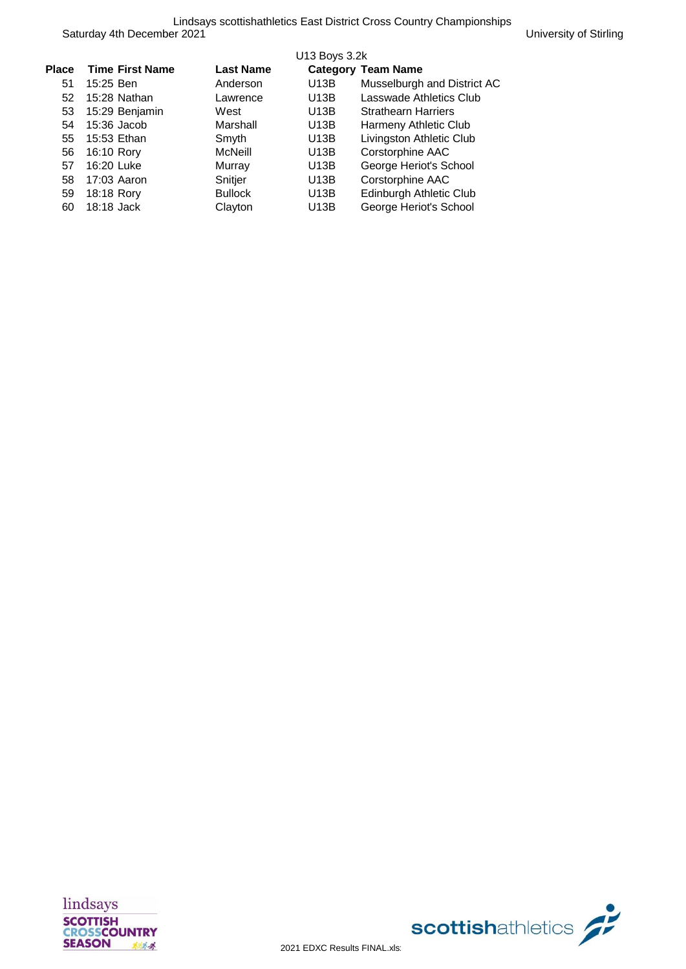|              |                        |                  | U13 Boys 3.2k |                             |
|--------------|------------------------|------------------|---------------|-----------------------------|
| <b>Place</b> | <b>Time First Name</b> | <b>Last Name</b> |               | <b>Category Team Name</b>   |
| 51           | 15:25 Ben              | Anderson         | U13B          | Musselburgh and District AC |
| 52           | 15:28 Nathan           | Lawrence         | U13B          | Lasswade Athletics Club     |
| 53           | 15:29 Benjamin         | West             | U13B          | <b>Strathearn Harriers</b>  |
| 54           | $15:36$ Jacob          | Marshall         | U13B          | Harmeny Athletic Club       |
| 55           | 15:53 Ethan            | Smyth            | U13B          | Livingston Athletic Club    |
| 56           | 16:10 Rory             | McNeill          | U13B          | Corstorphine AAC            |
| 57           | 16:20 Luke             | Murray           | U13B          | George Heriot's School      |
| 58           | 17:03 Aaron            | Snitjer          | U13B          | Corstorphine AAC            |
| 59           | 18:18 Rory             | <b>Bullock</b>   | U13B          | Edinburgh Athletic Club     |
| 60           | 18:18 Jack             | Clayton          | U13B          | George Heriot's School      |



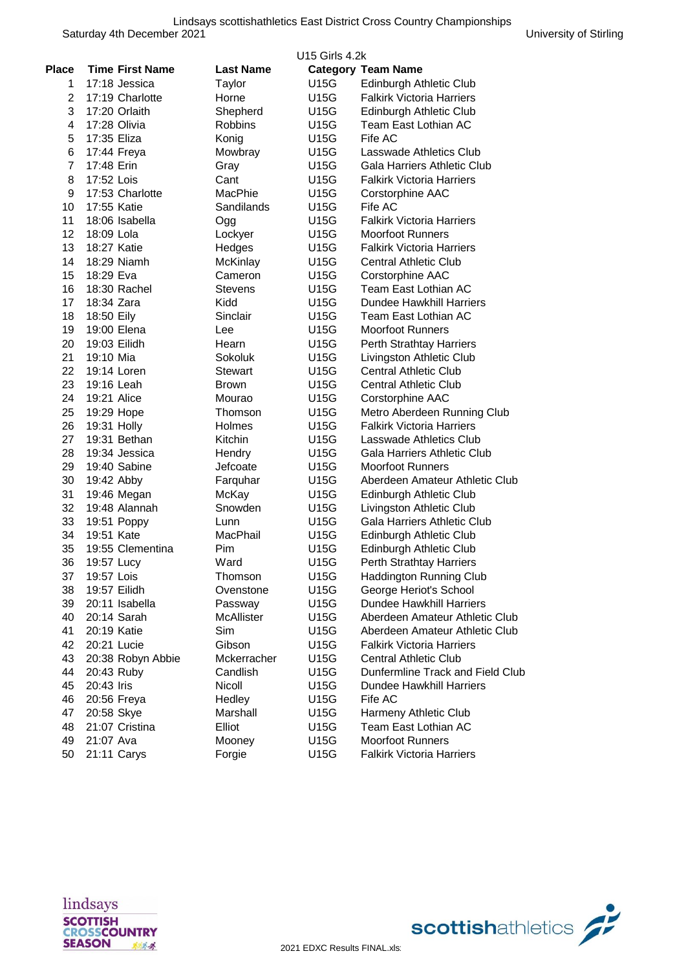|                |                        |                  | U <sub>15</sub> Girls 4.2k |                                  |
|----------------|------------------------|------------------|----------------------------|----------------------------------|
| Place          | <b>Time First Name</b> | <b>Last Name</b> |                            | <b>Category Team Name</b>        |
| 1              | 17:18 Jessica          | Taylor           | U15G                       | Edinburgh Athletic Club          |
| $\overline{2}$ | 17:19 Charlotte        | Horne            | U15G                       | <b>Falkirk Victoria Harriers</b> |
| 3              | 17:20 Orlaith          | Shepherd         | U15G                       | Edinburgh Athletic Club          |
| 4              | 17:28 Olivia           | <b>Robbins</b>   | U15G                       | Team East Lothian AC             |
| 5              | 17:35 Eliza            | Konig            | U15G                       | Fife AC                          |
| 6              | 17:44 Freya            | Mowbray          | U15G                       | Lasswade Athletics Club          |
| $\overline{7}$ | 17:48 Erin             | Gray             | U15G                       | Gala Harriers Athletic Club      |
| 8              | 17:52 Lois             | Cant             | U15G                       | <b>Falkirk Victoria Harriers</b> |
| 9              | 17:53 Charlotte        | MacPhie          | U15G                       | Corstorphine AAC                 |
| 10             | 17:55 Katie            | Sandilands       | U15G                       | Fife AC                          |
| 11             | 18:06 Isabella         | Ogg              | U15G                       | <b>Falkirk Victoria Harriers</b> |
| 12             | 18:09 Lola             | Lockyer          | U15G                       | <b>Moorfoot Runners</b>          |
| 13             | 18:27 Katie            | Hedges           | U15G                       | <b>Falkirk Victoria Harriers</b> |
| 14             | 18:29 Niamh            | McKinlay         | U15G                       | <b>Central Athletic Club</b>     |
| 15             | 18:29 Eva              | Cameron          | U15G                       | Corstorphine AAC                 |
| 16             | 18:30 Rachel           | Stevens          | U15G                       | Team East Lothian AC             |
| 17             | 18:34 Zara             | Kidd             | U15G                       | Dundee Hawkhill Harriers         |
| 18             | 18:50 Eily             | Sinclair         | U15G                       | Team East Lothian AC             |
| 19             | 19:00 Elena            | Lee              | U15G                       | <b>Moorfoot Runners</b>          |
| 20             | 19:03 Eilidh           | Hearn            | U15G                       | Perth Strathtay Harriers         |
| 21             | 19:10 Mia              | Sokoluk          | U15G                       | Livingston Athletic Club         |
| 22             | 19:14 Loren            | <b>Stewart</b>   | U15G                       | <b>Central Athletic Club</b>     |
| 23             | 19:16 Leah             | <b>Brown</b>     | U15G                       | <b>Central Athletic Club</b>     |
| 24             | 19:21 Alice            | Mourao           | U15G                       | Corstorphine AAC                 |
| 25             | 19:29 Hope             | Thomson          | U15G                       | Metro Aberdeen Running Club      |
| 26             | 19:31 Holly            | Holmes           | U15G                       | <b>Falkirk Victoria Harriers</b> |
| 27             | 19:31 Bethan           | Kitchin          | U15G                       | Lasswade Athletics Club          |
| 28             | 19:34 Jessica          | Hendry           | U15G                       | Gala Harriers Athletic Club      |
| 29             | 19:40 Sabine           | Jefcoate         | U15G                       | <b>Moorfoot Runners</b>          |
| 30             | 19:42 Abby             | Farquhar         | U15G                       | Aberdeen Amateur Athletic Club   |
| 31             | 19:46 Megan            | McKay            | U15G                       | Edinburgh Athletic Club          |
| 32             | 19:48 Alannah          | Snowden          | U15G                       | Livingston Athletic Club         |
| 33             | 19:51 Poppy            | Lunn             | U15G                       | Gala Harriers Athletic Club      |
| 34             | 19:51 Kate             | MacPhail         | U15G                       | Edinburgh Athletic Club          |
| 35             | 19:55 Clementina       | Pim              | U15G                       | Edinburgh Athletic Club          |
| 36             | 19:57 Lucy             | Ward             | U15G                       | Perth Strathtay Harriers         |
| 37             | 19:57 Lois             | Thomson          | U15G                       | <b>Haddington Running Club</b>   |
| 38             | 19:57 Eilidh           | Ovenstone        | U15G                       | George Heriot's School           |
| 39             | 20:11 Isabella         | Passway          | U15G                       | <b>Dundee Hawkhill Harriers</b>  |
| 40             | 20:14 Sarah            | McAllister       | U15G                       | Aberdeen Amateur Athletic Club   |
| 41             | 20:19 Katie            | Sim              | U15G                       | Aberdeen Amateur Athletic Club   |
| 42             | 20:21 Lucie            | Gibson           | U15G                       | <b>Falkirk Victoria Harriers</b> |
| 43             | 20:38 Robyn Abbie      | Mckerracher      | U15G                       | <b>Central Athletic Club</b>     |
| 44             | 20:43 Ruby             | Candlish         | U15G                       | Dunfermline Track and Field Club |
| 45             | 20:43 Iris             | Nicoll           | U15G                       | <b>Dundee Hawkhill Harriers</b>  |
| 46             | 20:56 Freya            | Hedley           | U15G                       | Fife AC                          |
| 47             | 20:58 Skye             | Marshall         | U15G                       | Harmeny Athletic Club            |
| 48             | 21:07 Cristina         | Elliot           | U15G                       | Team East Lothian AC             |
| 49             | 21:07 Ava              | Mooney           | U15G                       | <b>Moorfoot Runners</b>          |
| 50             | 21:11 Carys            | Forgie           | U15G                       | <b>Falkirk Victoria Harriers</b> |



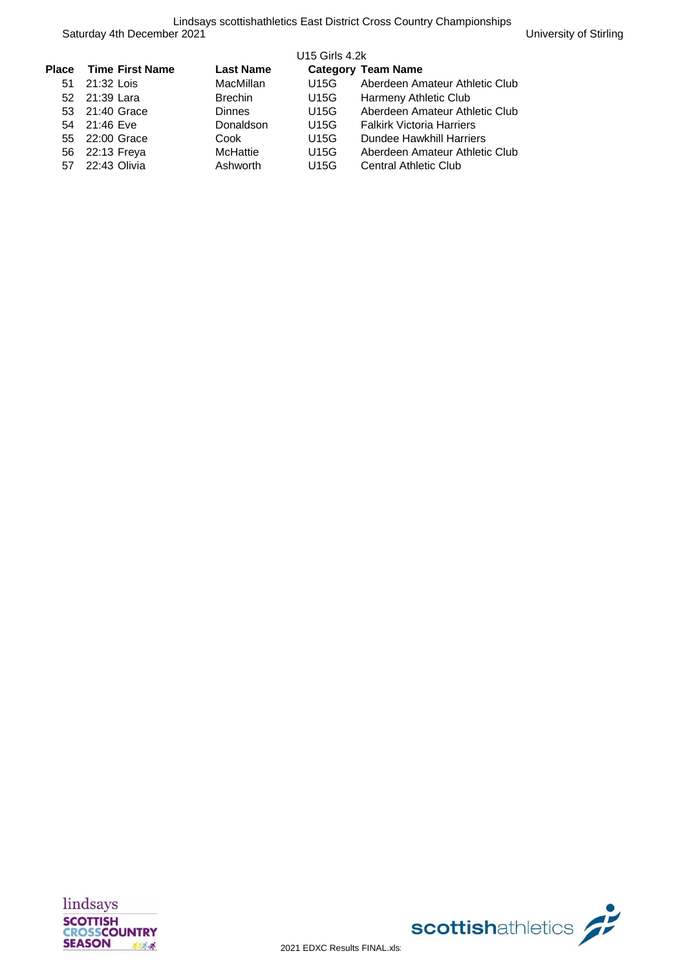| Place | <b>Time First Name</b> | <b>Last Name</b> | <b>U15 Girls 4.2k</b> | <b>Category Team Name</b>        |
|-------|------------------------|------------------|-----------------------|----------------------------------|
| 51    | 21:32 Lois             | MacMillan        | U15G                  | Aberdeen Amateur Athletic Club   |
|       | 52 21:39 Lara          | <b>Brechin</b>   | U15G                  | Harmeny Athletic Club            |
|       | 53 21:40 Grace         | <b>Dinnes</b>    | U15G                  | Aberdeen Amateur Athletic Club   |
| 54    | 21:46 Eve              | Donaldson        | U15G                  | <b>Falkirk Victoria Harriers</b> |
| 55    | 22:00 Grace            | Cook             | U15G                  | <b>Dundee Hawkhill Harriers</b>  |
| 56    | 22:13 Freya            | McHattie         | <b>U15G</b>           | Aberdeen Amateur Athletic Club   |
| 57    | 22:43 Olivia           | Ashworth         | U15G                  | <b>Central Athletic Club</b>     |



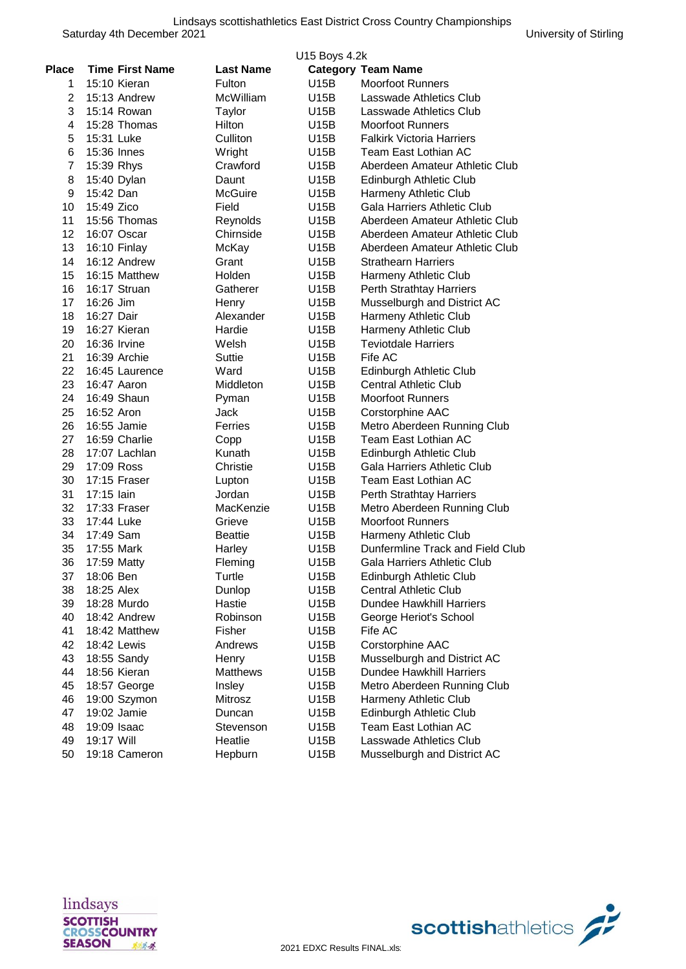| <b>Time First Name</b><br><b>Last Name</b><br><b>Category Team Name</b><br>Fulton<br>U15B<br><b>Moorfoot Runners</b><br>15:10 Kieran<br>1<br>$\overline{2}$<br>15:13 Andrew<br>McWilliam<br>U15B<br>Lasswade Athletics Club<br>3<br>15:14 Rowan<br>Taylor<br>U15B<br>Lasswade Athletics Club<br>4<br>15:28 Thomas<br>Hilton<br>U15B<br>Moorfoot Runners<br>5<br>Culliton<br>U15B<br><b>Falkirk Victoria Harriers</b><br>15:31 Luke<br>6<br>15:36 Innes<br>Wright<br>U15B<br>Team East Lothian AC<br>7<br>Crawford<br>U15B<br>Aberdeen Amateur Athletic Club<br>15:39 Rhys<br>8<br>15:40 Dylan<br>Daunt<br>U15B<br>Edinburgh Athletic Club<br>9<br>15:42 Dan<br>U15B<br>Harmeny Athletic Club<br><b>McGuire</b><br>10<br>15:49 Zico<br><b>Gala Harriers Athletic Club</b><br>Field<br>U15B<br>11<br>15:56 Thomas<br>Aberdeen Amateur Athletic Club<br>Reynolds<br>U15B<br>12<br>Chirnside<br>16:07 Oscar<br>U15B<br>Aberdeen Amateur Athletic Club<br>13<br>16:10 Finlay<br>McKay<br>U15B<br>Aberdeen Amateur Athletic Club<br>14<br>16:12 Andrew<br>Grant<br>U15B<br><b>Strathearn Harriers</b><br>15<br>16:15 Matthew<br>Holden<br>U15B<br>Harmeny Athletic Club<br>16<br>16:17 Struan<br>Gatherer<br>U15B<br>Perth Strathtay Harriers<br>17<br>16:26 Jim<br>U15B<br>Musselburgh and District AC<br>Henry<br>Alexander<br>18<br>16:27 Dair<br>U15B<br>Harmeny Athletic Club<br>19<br>16:27 Kieran<br>Hardie<br>Harmeny Athletic Club<br>U15B<br>20<br>16:36 Irvine<br>Welsh<br>U15B<br><b>Teviotdale Harriers</b><br>21<br>Fife AC<br>16:39 Archie<br>Suttie<br>U15B<br>22<br>16:45 Laurence<br>Ward<br>U15B<br>Edinburgh Athletic Club<br>23<br>16:47 Aaron<br>Middleton<br>U15B<br><b>Central Athletic Club</b><br>24<br>16:49 Shaun<br><b>Moorfoot Runners</b><br>Pyman<br>U15B<br>25<br>16:52 Aron<br>Jack<br>Corstorphine AAC<br>U15B<br>26<br>16:55 Jamie<br>Ferries<br>Metro Aberdeen Running Club<br>U15B<br>27<br>16:59 Charlie<br>Team East Lothian AC<br>Copp<br>U15B<br>28<br>17:07 Lachlan<br>Kunath<br>U15B<br>Edinburgh Athletic Club<br>29<br>17:09 Ross<br>Christie<br>U15B<br>Gala Harriers Athletic Club<br>30<br>17:15 Fraser<br>U15B<br>Team East Lothian AC<br>Lupton<br>31<br>17:15 lain<br>Jordan<br>U15B<br>Perth Strathtay Harriers<br>32<br>17:33 Fraser<br>MacKenzie<br>U15B<br>Metro Aberdeen Running Club<br>33<br>17:44 Luke<br>U15B<br><b>Moorfoot Runners</b><br>Grieve<br>34<br>17:49 Sam<br><b>Beattie</b><br>U15B<br>Harmeny Athletic Club<br>35<br>17:55 Mark<br>U15B<br>Dunfermline Track and Field Club<br>Harley<br>36<br>U15B<br>17:59 Matty<br>Fleming<br>Gala Harriers Athletic Club<br>37<br>18:06 Ben<br>Turtle<br>U15B<br>Edinburgh Athletic Club<br>38<br><b>Central Athletic Club</b><br>18:25 Alex<br>Dunlop<br>U15B<br>39<br><b>Dundee Hawkhill Harriers</b><br>18:28 Murdo<br>Hastie<br>U15B<br>40<br>18:42 Andrew<br>Robinson<br>U15B<br>George Heriot's School<br>41<br>18:42 Matthew<br>Fisher<br>U15B<br>Fife AC<br>42<br>18:42 Lewis<br>Corstorphine AAC<br>Andrews<br>U15B<br>43<br>Musselburgh and District AC<br>18:55 Sandy<br>U15B<br>Henry<br>44<br><b>Dundee Hawkhill Harriers</b><br>18:56 Kieran<br><b>Matthews</b><br>U15B<br>45<br>18:57 George<br>Insley<br>U15B<br>Metro Aberdeen Running Club<br>46<br>Mitrosz<br>U15B<br>Harmeny Athletic Club<br>19:00 Szymon<br>47<br>19:02 Jamie<br>U15B<br>Edinburgh Athletic Club<br>Duncan<br>48<br>Team East Lothian AC<br>19:09 Isaac<br>U15B<br>Stevenson<br>49<br>Lasswade Athletics Club<br>19:17 Will<br>Heatlie<br>U15B |              |  | U15 Boys 4.2k |  |
|----------------------------------------------------------------------------------------------------------------------------------------------------------------------------------------------------------------------------------------------------------------------------------------------------------------------------------------------------------------------------------------------------------------------------------------------------------------------------------------------------------------------------------------------------------------------------------------------------------------------------------------------------------------------------------------------------------------------------------------------------------------------------------------------------------------------------------------------------------------------------------------------------------------------------------------------------------------------------------------------------------------------------------------------------------------------------------------------------------------------------------------------------------------------------------------------------------------------------------------------------------------------------------------------------------------------------------------------------------------------------------------------------------------------------------------------------------------------------------------------------------------------------------------------------------------------------------------------------------------------------------------------------------------------------------------------------------------------------------------------------------------------------------------------------------------------------------------------------------------------------------------------------------------------------------------------------------------------------------------------------------------------------------------------------------------------------------------------------------------------------------------------------------------------------------------------------------------------------------------------------------------------------------------------------------------------------------------------------------------------------------------------------------------------------------------------------------------------------------------------------------------------------------------------------------------------------------------------------------------------------------------------------------------------------------------------------------------------------------------------------------------------------------------------------------------------------------------------------------------------------------------------------------------------------------------------------------------------------------------------------------------------------------------------------------------------------------------------------------------------------------------------------------------------------------------------------------------------------------------------------------------------------------------------------------------------------------------------------------------------------------------------------------------------------------------------------------------------------------------------------------------------------------------------|--------------|--|---------------|--|
|                                                                                                                                                                                                                                                                                                                                                                                                                                                                                                                                                                                                                                                                                                                                                                                                                                                                                                                                                                                                                                                                                                                                                                                                                                                                                                                                                                                                                                                                                                                                                                                                                                                                                                                                                                                                                                                                                                                                                                                                                                                                                                                                                                                                                                                                                                                                                                                                                                                                                                                                                                                                                                                                                                                                                                                                                                                                                                                                                                                                                                                                                                                                                                                                                                                                                                                                                                                                                                                                                                                                              | <b>Place</b> |  |               |  |
|                                                                                                                                                                                                                                                                                                                                                                                                                                                                                                                                                                                                                                                                                                                                                                                                                                                                                                                                                                                                                                                                                                                                                                                                                                                                                                                                                                                                                                                                                                                                                                                                                                                                                                                                                                                                                                                                                                                                                                                                                                                                                                                                                                                                                                                                                                                                                                                                                                                                                                                                                                                                                                                                                                                                                                                                                                                                                                                                                                                                                                                                                                                                                                                                                                                                                                                                                                                                                                                                                                                                              |              |  |               |  |
|                                                                                                                                                                                                                                                                                                                                                                                                                                                                                                                                                                                                                                                                                                                                                                                                                                                                                                                                                                                                                                                                                                                                                                                                                                                                                                                                                                                                                                                                                                                                                                                                                                                                                                                                                                                                                                                                                                                                                                                                                                                                                                                                                                                                                                                                                                                                                                                                                                                                                                                                                                                                                                                                                                                                                                                                                                                                                                                                                                                                                                                                                                                                                                                                                                                                                                                                                                                                                                                                                                                                              |              |  |               |  |
|                                                                                                                                                                                                                                                                                                                                                                                                                                                                                                                                                                                                                                                                                                                                                                                                                                                                                                                                                                                                                                                                                                                                                                                                                                                                                                                                                                                                                                                                                                                                                                                                                                                                                                                                                                                                                                                                                                                                                                                                                                                                                                                                                                                                                                                                                                                                                                                                                                                                                                                                                                                                                                                                                                                                                                                                                                                                                                                                                                                                                                                                                                                                                                                                                                                                                                                                                                                                                                                                                                                                              |              |  |               |  |
|                                                                                                                                                                                                                                                                                                                                                                                                                                                                                                                                                                                                                                                                                                                                                                                                                                                                                                                                                                                                                                                                                                                                                                                                                                                                                                                                                                                                                                                                                                                                                                                                                                                                                                                                                                                                                                                                                                                                                                                                                                                                                                                                                                                                                                                                                                                                                                                                                                                                                                                                                                                                                                                                                                                                                                                                                                                                                                                                                                                                                                                                                                                                                                                                                                                                                                                                                                                                                                                                                                                                              |              |  |               |  |
|                                                                                                                                                                                                                                                                                                                                                                                                                                                                                                                                                                                                                                                                                                                                                                                                                                                                                                                                                                                                                                                                                                                                                                                                                                                                                                                                                                                                                                                                                                                                                                                                                                                                                                                                                                                                                                                                                                                                                                                                                                                                                                                                                                                                                                                                                                                                                                                                                                                                                                                                                                                                                                                                                                                                                                                                                                                                                                                                                                                                                                                                                                                                                                                                                                                                                                                                                                                                                                                                                                                                              |              |  |               |  |
|                                                                                                                                                                                                                                                                                                                                                                                                                                                                                                                                                                                                                                                                                                                                                                                                                                                                                                                                                                                                                                                                                                                                                                                                                                                                                                                                                                                                                                                                                                                                                                                                                                                                                                                                                                                                                                                                                                                                                                                                                                                                                                                                                                                                                                                                                                                                                                                                                                                                                                                                                                                                                                                                                                                                                                                                                                                                                                                                                                                                                                                                                                                                                                                                                                                                                                                                                                                                                                                                                                                                              |              |  |               |  |
|                                                                                                                                                                                                                                                                                                                                                                                                                                                                                                                                                                                                                                                                                                                                                                                                                                                                                                                                                                                                                                                                                                                                                                                                                                                                                                                                                                                                                                                                                                                                                                                                                                                                                                                                                                                                                                                                                                                                                                                                                                                                                                                                                                                                                                                                                                                                                                                                                                                                                                                                                                                                                                                                                                                                                                                                                                                                                                                                                                                                                                                                                                                                                                                                                                                                                                                                                                                                                                                                                                                                              |              |  |               |  |
|                                                                                                                                                                                                                                                                                                                                                                                                                                                                                                                                                                                                                                                                                                                                                                                                                                                                                                                                                                                                                                                                                                                                                                                                                                                                                                                                                                                                                                                                                                                                                                                                                                                                                                                                                                                                                                                                                                                                                                                                                                                                                                                                                                                                                                                                                                                                                                                                                                                                                                                                                                                                                                                                                                                                                                                                                                                                                                                                                                                                                                                                                                                                                                                                                                                                                                                                                                                                                                                                                                                                              |              |  |               |  |
|                                                                                                                                                                                                                                                                                                                                                                                                                                                                                                                                                                                                                                                                                                                                                                                                                                                                                                                                                                                                                                                                                                                                                                                                                                                                                                                                                                                                                                                                                                                                                                                                                                                                                                                                                                                                                                                                                                                                                                                                                                                                                                                                                                                                                                                                                                                                                                                                                                                                                                                                                                                                                                                                                                                                                                                                                                                                                                                                                                                                                                                                                                                                                                                                                                                                                                                                                                                                                                                                                                                                              |              |  |               |  |
|                                                                                                                                                                                                                                                                                                                                                                                                                                                                                                                                                                                                                                                                                                                                                                                                                                                                                                                                                                                                                                                                                                                                                                                                                                                                                                                                                                                                                                                                                                                                                                                                                                                                                                                                                                                                                                                                                                                                                                                                                                                                                                                                                                                                                                                                                                                                                                                                                                                                                                                                                                                                                                                                                                                                                                                                                                                                                                                                                                                                                                                                                                                                                                                                                                                                                                                                                                                                                                                                                                                                              |              |  |               |  |
|                                                                                                                                                                                                                                                                                                                                                                                                                                                                                                                                                                                                                                                                                                                                                                                                                                                                                                                                                                                                                                                                                                                                                                                                                                                                                                                                                                                                                                                                                                                                                                                                                                                                                                                                                                                                                                                                                                                                                                                                                                                                                                                                                                                                                                                                                                                                                                                                                                                                                                                                                                                                                                                                                                                                                                                                                                                                                                                                                                                                                                                                                                                                                                                                                                                                                                                                                                                                                                                                                                                                              |              |  |               |  |
|                                                                                                                                                                                                                                                                                                                                                                                                                                                                                                                                                                                                                                                                                                                                                                                                                                                                                                                                                                                                                                                                                                                                                                                                                                                                                                                                                                                                                                                                                                                                                                                                                                                                                                                                                                                                                                                                                                                                                                                                                                                                                                                                                                                                                                                                                                                                                                                                                                                                                                                                                                                                                                                                                                                                                                                                                                                                                                                                                                                                                                                                                                                                                                                                                                                                                                                                                                                                                                                                                                                                              |              |  |               |  |
|                                                                                                                                                                                                                                                                                                                                                                                                                                                                                                                                                                                                                                                                                                                                                                                                                                                                                                                                                                                                                                                                                                                                                                                                                                                                                                                                                                                                                                                                                                                                                                                                                                                                                                                                                                                                                                                                                                                                                                                                                                                                                                                                                                                                                                                                                                                                                                                                                                                                                                                                                                                                                                                                                                                                                                                                                                                                                                                                                                                                                                                                                                                                                                                                                                                                                                                                                                                                                                                                                                                                              |              |  |               |  |
|                                                                                                                                                                                                                                                                                                                                                                                                                                                                                                                                                                                                                                                                                                                                                                                                                                                                                                                                                                                                                                                                                                                                                                                                                                                                                                                                                                                                                                                                                                                                                                                                                                                                                                                                                                                                                                                                                                                                                                                                                                                                                                                                                                                                                                                                                                                                                                                                                                                                                                                                                                                                                                                                                                                                                                                                                                                                                                                                                                                                                                                                                                                                                                                                                                                                                                                                                                                                                                                                                                                                              |              |  |               |  |
|                                                                                                                                                                                                                                                                                                                                                                                                                                                                                                                                                                                                                                                                                                                                                                                                                                                                                                                                                                                                                                                                                                                                                                                                                                                                                                                                                                                                                                                                                                                                                                                                                                                                                                                                                                                                                                                                                                                                                                                                                                                                                                                                                                                                                                                                                                                                                                                                                                                                                                                                                                                                                                                                                                                                                                                                                                                                                                                                                                                                                                                                                                                                                                                                                                                                                                                                                                                                                                                                                                                                              |              |  |               |  |
|                                                                                                                                                                                                                                                                                                                                                                                                                                                                                                                                                                                                                                                                                                                                                                                                                                                                                                                                                                                                                                                                                                                                                                                                                                                                                                                                                                                                                                                                                                                                                                                                                                                                                                                                                                                                                                                                                                                                                                                                                                                                                                                                                                                                                                                                                                                                                                                                                                                                                                                                                                                                                                                                                                                                                                                                                                                                                                                                                                                                                                                                                                                                                                                                                                                                                                                                                                                                                                                                                                                                              |              |  |               |  |
|                                                                                                                                                                                                                                                                                                                                                                                                                                                                                                                                                                                                                                                                                                                                                                                                                                                                                                                                                                                                                                                                                                                                                                                                                                                                                                                                                                                                                                                                                                                                                                                                                                                                                                                                                                                                                                                                                                                                                                                                                                                                                                                                                                                                                                                                                                                                                                                                                                                                                                                                                                                                                                                                                                                                                                                                                                                                                                                                                                                                                                                                                                                                                                                                                                                                                                                                                                                                                                                                                                                                              |              |  |               |  |
|                                                                                                                                                                                                                                                                                                                                                                                                                                                                                                                                                                                                                                                                                                                                                                                                                                                                                                                                                                                                                                                                                                                                                                                                                                                                                                                                                                                                                                                                                                                                                                                                                                                                                                                                                                                                                                                                                                                                                                                                                                                                                                                                                                                                                                                                                                                                                                                                                                                                                                                                                                                                                                                                                                                                                                                                                                                                                                                                                                                                                                                                                                                                                                                                                                                                                                                                                                                                                                                                                                                                              |              |  |               |  |
|                                                                                                                                                                                                                                                                                                                                                                                                                                                                                                                                                                                                                                                                                                                                                                                                                                                                                                                                                                                                                                                                                                                                                                                                                                                                                                                                                                                                                                                                                                                                                                                                                                                                                                                                                                                                                                                                                                                                                                                                                                                                                                                                                                                                                                                                                                                                                                                                                                                                                                                                                                                                                                                                                                                                                                                                                                                                                                                                                                                                                                                                                                                                                                                                                                                                                                                                                                                                                                                                                                                                              |              |  |               |  |
|                                                                                                                                                                                                                                                                                                                                                                                                                                                                                                                                                                                                                                                                                                                                                                                                                                                                                                                                                                                                                                                                                                                                                                                                                                                                                                                                                                                                                                                                                                                                                                                                                                                                                                                                                                                                                                                                                                                                                                                                                                                                                                                                                                                                                                                                                                                                                                                                                                                                                                                                                                                                                                                                                                                                                                                                                                                                                                                                                                                                                                                                                                                                                                                                                                                                                                                                                                                                                                                                                                                                              |              |  |               |  |
|                                                                                                                                                                                                                                                                                                                                                                                                                                                                                                                                                                                                                                                                                                                                                                                                                                                                                                                                                                                                                                                                                                                                                                                                                                                                                                                                                                                                                                                                                                                                                                                                                                                                                                                                                                                                                                                                                                                                                                                                                                                                                                                                                                                                                                                                                                                                                                                                                                                                                                                                                                                                                                                                                                                                                                                                                                                                                                                                                                                                                                                                                                                                                                                                                                                                                                                                                                                                                                                                                                                                              |              |  |               |  |
|                                                                                                                                                                                                                                                                                                                                                                                                                                                                                                                                                                                                                                                                                                                                                                                                                                                                                                                                                                                                                                                                                                                                                                                                                                                                                                                                                                                                                                                                                                                                                                                                                                                                                                                                                                                                                                                                                                                                                                                                                                                                                                                                                                                                                                                                                                                                                                                                                                                                                                                                                                                                                                                                                                                                                                                                                                                                                                                                                                                                                                                                                                                                                                                                                                                                                                                                                                                                                                                                                                                                              |              |  |               |  |
|                                                                                                                                                                                                                                                                                                                                                                                                                                                                                                                                                                                                                                                                                                                                                                                                                                                                                                                                                                                                                                                                                                                                                                                                                                                                                                                                                                                                                                                                                                                                                                                                                                                                                                                                                                                                                                                                                                                                                                                                                                                                                                                                                                                                                                                                                                                                                                                                                                                                                                                                                                                                                                                                                                                                                                                                                                                                                                                                                                                                                                                                                                                                                                                                                                                                                                                                                                                                                                                                                                                                              |              |  |               |  |
|                                                                                                                                                                                                                                                                                                                                                                                                                                                                                                                                                                                                                                                                                                                                                                                                                                                                                                                                                                                                                                                                                                                                                                                                                                                                                                                                                                                                                                                                                                                                                                                                                                                                                                                                                                                                                                                                                                                                                                                                                                                                                                                                                                                                                                                                                                                                                                                                                                                                                                                                                                                                                                                                                                                                                                                                                                                                                                                                                                                                                                                                                                                                                                                                                                                                                                                                                                                                                                                                                                                                              |              |  |               |  |
|                                                                                                                                                                                                                                                                                                                                                                                                                                                                                                                                                                                                                                                                                                                                                                                                                                                                                                                                                                                                                                                                                                                                                                                                                                                                                                                                                                                                                                                                                                                                                                                                                                                                                                                                                                                                                                                                                                                                                                                                                                                                                                                                                                                                                                                                                                                                                                                                                                                                                                                                                                                                                                                                                                                                                                                                                                                                                                                                                                                                                                                                                                                                                                                                                                                                                                                                                                                                                                                                                                                                              |              |  |               |  |
|                                                                                                                                                                                                                                                                                                                                                                                                                                                                                                                                                                                                                                                                                                                                                                                                                                                                                                                                                                                                                                                                                                                                                                                                                                                                                                                                                                                                                                                                                                                                                                                                                                                                                                                                                                                                                                                                                                                                                                                                                                                                                                                                                                                                                                                                                                                                                                                                                                                                                                                                                                                                                                                                                                                                                                                                                                                                                                                                                                                                                                                                                                                                                                                                                                                                                                                                                                                                                                                                                                                                              |              |  |               |  |
|                                                                                                                                                                                                                                                                                                                                                                                                                                                                                                                                                                                                                                                                                                                                                                                                                                                                                                                                                                                                                                                                                                                                                                                                                                                                                                                                                                                                                                                                                                                                                                                                                                                                                                                                                                                                                                                                                                                                                                                                                                                                                                                                                                                                                                                                                                                                                                                                                                                                                                                                                                                                                                                                                                                                                                                                                                                                                                                                                                                                                                                                                                                                                                                                                                                                                                                                                                                                                                                                                                                                              |              |  |               |  |
|                                                                                                                                                                                                                                                                                                                                                                                                                                                                                                                                                                                                                                                                                                                                                                                                                                                                                                                                                                                                                                                                                                                                                                                                                                                                                                                                                                                                                                                                                                                                                                                                                                                                                                                                                                                                                                                                                                                                                                                                                                                                                                                                                                                                                                                                                                                                                                                                                                                                                                                                                                                                                                                                                                                                                                                                                                                                                                                                                                                                                                                                                                                                                                                                                                                                                                                                                                                                                                                                                                                                              |              |  |               |  |
|                                                                                                                                                                                                                                                                                                                                                                                                                                                                                                                                                                                                                                                                                                                                                                                                                                                                                                                                                                                                                                                                                                                                                                                                                                                                                                                                                                                                                                                                                                                                                                                                                                                                                                                                                                                                                                                                                                                                                                                                                                                                                                                                                                                                                                                                                                                                                                                                                                                                                                                                                                                                                                                                                                                                                                                                                                                                                                                                                                                                                                                                                                                                                                                                                                                                                                                                                                                                                                                                                                                                              |              |  |               |  |
|                                                                                                                                                                                                                                                                                                                                                                                                                                                                                                                                                                                                                                                                                                                                                                                                                                                                                                                                                                                                                                                                                                                                                                                                                                                                                                                                                                                                                                                                                                                                                                                                                                                                                                                                                                                                                                                                                                                                                                                                                                                                                                                                                                                                                                                                                                                                                                                                                                                                                                                                                                                                                                                                                                                                                                                                                                                                                                                                                                                                                                                                                                                                                                                                                                                                                                                                                                                                                                                                                                                                              |              |  |               |  |
|                                                                                                                                                                                                                                                                                                                                                                                                                                                                                                                                                                                                                                                                                                                                                                                                                                                                                                                                                                                                                                                                                                                                                                                                                                                                                                                                                                                                                                                                                                                                                                                                                                                                                                                                                                                                                                                                                                                                                                                                                                                                                                                                                                                                                                                                                                                                                                                                                                                                                                                                                                                                                                                                                                                                                                                                                                                                                                                                                                                                                                                                                                                                                                                                                                                                                                                                                                                                                                                                                                                                              |              |  |               |  |
|                                                                                                                                                                                                                                                                                                                                                                                                                                                                                                                                                                                                                                                                                                                                                                                                                                                                                                                                                                                                                                                                                                                                                                                                                                                                                                                                                                                                                                                                                                                                                                                                                                                                                                                                                                                                                                                                                                                                                                                                                                                                                                                                                                                                                                                                                                                                                                                                                                                                                                                                                                                                                                                                                                                                                                                                                                                                                                                                                                                                                                                                                                                                                                                                                                                                                                                                                                                                                                                                                                                                              |              |  |               |  |
|                                                                                                                                                                                                                                                                                                                                                                                                                                                                                                                                                                                                                                                                                                                                                                                                                                                                                                                                                                                                                                                                                                                                                                                                                                                                                                                                                                                                                                                                                                                                                                                                                                                                                                                                                                                                                                                                                                                                                                                                                                                                                                                                                                                                                                                                                                                                                                                                                                                                                                                                                                                                                                                                                                                                                                                                                                                                                                                                                                                                                                                                                                                                                                                                                                                                                                                                                                                                                                                                                                                                              |              |  |               |  |
|                                                                                                                                                                                                                                                                                                                                                                                                                                                                                                                                                                                                                                                                                                                                                                                                                                                                                                                                                                                                                                                                                                                                                                                                                                                                                                                                                                                                                                                                                                                                                                                                                                                                                                                                                                                                                                                                                                                                                                                                                                                                                                                                                                                                                                                                                                                                                                                                                                                                                                                                                                                                                                                                                                                                                                                                                                                                                                                                                                                                                                                                                                                                                                                                                                                                                                                                                                                                                                                                                                                                              |              |  |               |  |
|                                                                                                                                                                                                                                                                                                                                                                                                                                                                                                                                                                                                                                                                                                                                                                                                                                                                                                                                                                                                                                                                                                                                                                                                                                                                                                                                                                                                                                                                                                                                                                                                                                                                                                                                                                                                                                                                                                                                                                                                                                                                                                                                                                                                                                                                                                                                                                                                                                                                                                                                                                                                                                                                                                                                                                                                                                                                                                                                                                                                                                                                                                                                                                                                                                                                                                                                                                                                                                                                                                                                              |              |  |               |  |
|                                                                                                                                                                                                                                                                                                                                                                                                                                                                                                                                                                                                                                                                                                                                                                                                                                                                                                                                                                                                                                                                                                                                                                                                                                                                                                                                                                                                                                                                                                                                                                                                                                                                                                                                                                                                                                                                                                                                                                                                                                                                                                                                                                                                                                                                                                                                                                                                                                                                                                                                                                                                                                                                                                                                                                                                                                                                                                                                                                                                                                                                                                                                                                                                                                                                                                                                                                                                                                                                                                                                              |              |  |               |  |
|                                                                                                                                                                                                                                                                                                                                                                                                                                                                                                                                                                                                                                                                                                                                                                                                                                                                                                                                                                                                                                                                                                                                                                                                                                                                                                                                                                                                                                                                                                                                                                                                                                                                                                                                                                                                                                                                                                                                                                                                                                                                                                                                                                                                                                                                                                                                                                                                                                                                                                                                                                                                                                                                                                                                                                                                                                                                                                                                                                                                                                                                                                                                                                                                                                                                                                                                                                                                                                                                                                                                              |              |  |               |  |
|                                                                                                                                                                                                                                                                                                                                                                                                                                                                                                                                                                                                                                                                                                                                                                                                                                                                                                                                                                                                                                                                                                                                                                                                                                                                                                                                                                                                                                                                                                                                                                                                                                                                                                                                                                                                                                                                                                                                                                                                                                                                                                                                                                                                                                                                                                                                                                                                                                                                                                                                                                                                                                                                                                                                                                                                                                                                                                                                                                                                                                                                                                                                                                                                                                                                                                                                                                                                                                                                                                                                              |              |  |               |  |
|                                                                                                                                                                                                                                                                                                                                                                                                                                                                                                                                                                                                                                                                                                                                                                                                                                                                                                                                                                                                                                                                                                                                                                                                                                                                                                                                                                                                                                                                                                                                                                                                                                                                                                                                                                                                                                                                                                                                                                                                                                                                                                                                                                                                                                                                                                                                                                                                                                                                                                                                                                                                                                                                                                                                                                                                                                                                                                                                                                                                                                                                                                                                                                                                                                                                                                                                                                                                                                                                                                                                              |              |  |               |  |
|                                                                                                                                                                                                                                                                                                                                                                                                                                                                                                                                                                                                                                                                                                                                                                                                                                                                                                                                                                                                                                                                                                                                                                                                                                                                                                                                                                                                                                                                                                                                                                                                                                                                                                                                                                                                                                                                                                                                                                                                                                                                                                                                                                                                                                                                                                                                                                                                                                                                                                                                                                                                                                                                                                                                                                                                                                                                                                                                                                                                                                                                                                                                                                                                                                                                                                                                                                                                                                                                                                                                              |              |  |               |  |
|                                                                                                                                                                                                                                                                                                                                                                                                                                                                                                                                                                                                                                                                                                                                                                                                                                                                                                                                                                                                                                                                                                                                                                                                                                                                                                                                                                                                                                                                                                                                                                                                                                                                                                                                                                                                                                                                                                                                                                                                                                                                                                                                                                                                                                                                                                                                                                                                                                                                                                                                                                                                                                                                                                                                                                                                                                                                                                                                                                                                                                                                                                                                                                                                                                                                                                                                                                                                                                                                                                                                              |              |  |               |  |
|                                                                                                                                                                                                                                                                                                                                                                                                                                                                                                                                                                                                                                                                                                                                                                                                                                                                                                                                                                                                                                                                                                                                                                                                                                                                                                                                                                                                                                                                                                                                                                                                                                                                                                                                                                                                                                                                                                                                                                                                                                                                                                                                                                                                                                                                                                                                                                                                                                                                                                                                                                                                                                                                                                                                                                                                                                                                                                                                                                                                                                                                                                                                                                                                                                                                                                                                                                                                                                                                                                                                              |              |  |               |  |
|                                                                                                                                                                                                                                                                                                                                                                                                                                                                                                                                                                                                                                                                                                                                                                                                                                                                                                                                                                                                                                                                                                                                                                                                                                                                                                                                                                                                                                                                                                                                                                                                                                                                                                                                                                                                                                                                                                                                                                                                                                                                                                                                                                                                                                                                                                                                                                                                                                                                                                                                                                                                                                                                                                                                                                                                                                                                                                                                                                                                                                                                                                                                                                                                                                                                                                                                                                                                                                                                                                                                              |              |  |               |  |
|                                                                                                                                                                                                                                                                                                                                                                                                                                                                                                                                                                                                                                                                                                                                                                                                                                                                                                                                                                                                                                                                                                                                                                                                                                                                                                                                                                                                                                                                                                                                                                                                                                                                                                                                                                                                                                                                                                                                                                                                                                                                                                                                                                                                                                                                                                                                                                                                                                                                                                                                                                                                                                                                                                                                                                                                                                                                                                                                                                                                                                                                                                                                                                                                                                                                                                                                                                                                                                                                                                                                              |              |  |               |  |
|                                                                                                                                                                                                                                                                                                                                                                                                                                                                                                                                                                                                                                                                                                                                                                                                                                                                                                                                                                                                                                                                                                                                                                                                                                                                                                                                                                                                                                                                                                                                                                                                                                                                                                                                                                                                                                                                                                                                                                                                                                                                                                                                                                                                                                                                                                                                                                                                                                                                                                                                                                                                                                                                                                                                                                                                                                                                                                                                                                                                                                                                                                                                                                                                                                                                                                                                                                                                                                                                                                                                              |              |  |               |  |
|                                                                                                                                                                                                                                                                                                                                                                                                                                                                                                                                                                                                                                                                                                                                                                                                                                                                                                                                                                                                                                                                                                                                                                                                                                                                                                                                                                                                                                                                                                                                                                                                                                                                                                                                                                                                                                                                                                                                                                                                                                                                                                                                                                                                                                                                                                                                                                                                                                                                                                                                                                                                                                                                                                                                                                                                                                                                                                                                                                                                                                                                                                                                                                                                                                                                                                                                                                                                                                                                                                                                              |              |  |               |  |
|                                                                                                                                                                                                                                                                                                                                                                                                                                                                                                                                                                                                                                                                                                                                                                                                                                                                                                                                                                                                                                                                                                                                                                                                                                                                                                                                                                                                                                                                                                                                                                                                                                                                                                                                                                                                                                                                                                                                                                                                                                                                                                                                                                                                                                                                                                                                                                                                                                                                                                                                                                                                                                                                                                                                                                                                                                                                                                                                                                                                                                                                                                                                                                                                                                                                                                                                                                                                                                                                                                                                              |              |  |               |  |
|                                                                                                                                                                                                                                                                                                                                                                                                                                                                                                                                                                                                                                                                                                                                                                                                                                                                                                                                                                                                                                                                                                                                                                                                                                                                                                                                                                                                                                                                                                                                                                                                                                                                                                                                                                                                                                                                                                                                                                                                                                                                                                                                                                                                                                                                                                                                                                                                                                                                                                                                                                                                                                                                                                                                                                                                                                                                                                                                                                                                                                                                                                                                                                                                                                                                                                                                                                                                                                                                                                                                              |              |  |               |  |
|                                                                                                                                                                                                                                                                                                                                                                                                                                                                                                                                                                                                                                                                                                                                                                                                                                                                                                                                                                                                                                                                                                                                                                                                                                                                                                                                                                                                                                                                                                                                                                                                                                                                                                                                                                                                                                                                                                                                                                                                                                                                                                                                                                                                                                                                                                                                                                                                                                                                                                                                                                                                                                                                                                                                                                                                                                                                                                                                                                                                                                                                                                                                                                                                                                                                                                                                                                                                                                                                                                                                              |              |  |               |  |
| 50<br>Hepburn<br>U15B<br>Musselburgh and District AC<br>19:18 Cameron                                                                                                                                                                                                                                                                                                                                                                                                                                                                                                                                                                                                                                                                                                                                                                                                                                                                                                                                                                                                                                                                                                                                                                                                                                                                                                                                                                                                                                                                                                                                                                                                                                                                                                                                                                                                                                                                                                                                                                                                                                                                                                                                                                                                                                                                                                                                                                                                                                                                                                                                                                                                                                                                                                                                                                                                                                                                                                                                                                                                                                                                                                                                                                                                                                                                                                                                                                                                                                                                        |              |  |               |  |



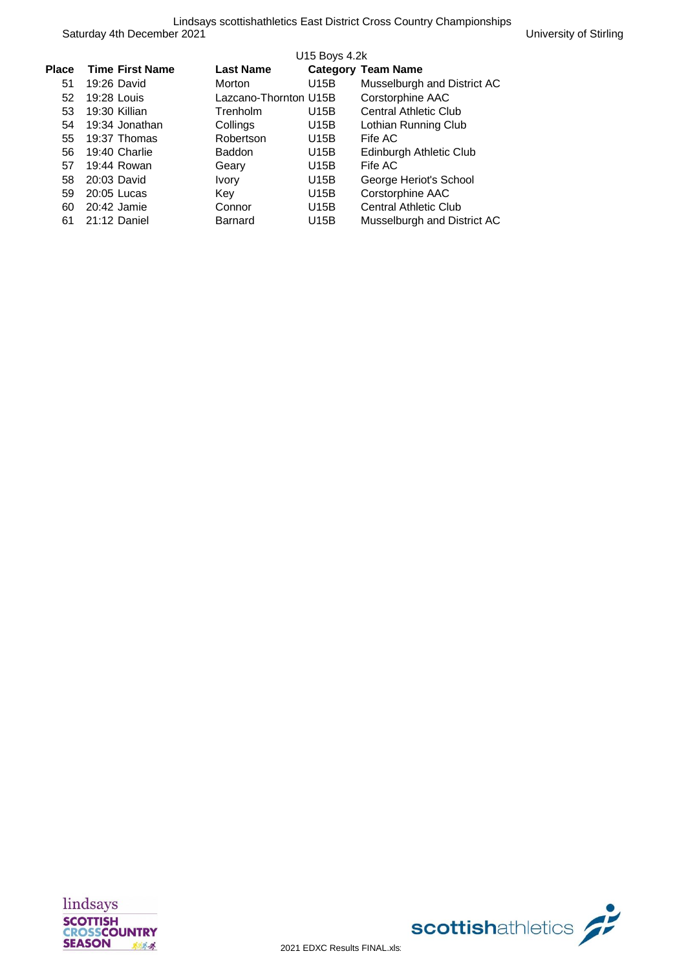|              |                        |                       | U15 Boys 4.2k |                              |
|--------------|------------------------|-----------------------|---------------|------------------------------|
| <b>Place</b> | <b>Time First Name</b> | <b>Last Name</b>      |               | <b>Category Team Name</b>    |
| 51           | 19:26 David            | <b>Morton</b>         | U15B          | Musselburgh and District AC  |
| 52           | 19:28 Louis            | Lazcano-Thornton U15B |               | Corstorphine AAC             |
| 53           | 19:30 Killian          | Trenholm              | U15B          | <b>Central Athletic Club</b> |
| 54           | 19:34 Jonathan         | Collings              | U15B          | Lothian Running Club         |
| 55           | 19:37 Thomas           | Robertson             | U15B          | Fife AC                      |
| 56           | 19:40 Charlie          | <b>Baddon</b>         | U15B          | Edinburgh Athletic Club      |
| 57           | 19:44 Rowan            | Geary                 | U15B          | Fife AC                      |
| 58           | 20:03 David            | <b>Ivory</b>          | U15B          | George Heriot's School       |
| 59           | 20:05 Lucas            | Key                   | U15B          | Corstorphine AAC             |
| 60           | 20:42 Jamie            | Connor                | U15B          | Central Athletic Club        |
| 61           | 21:12 Daniel           | <b>Barnard</b>        | U15B          | Musselburgh and District AC  |



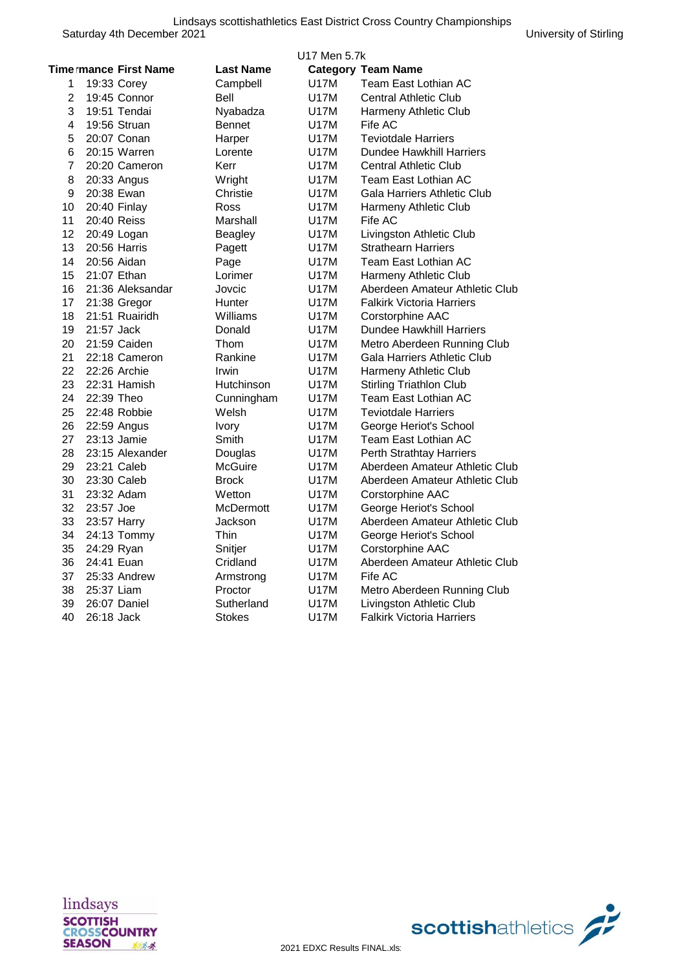|                |                |                              |                  | U17 Men 5.7k |                                  |
|----------------|----------------|------------------------------|------------------|--------------|----------------------------------|
|                |                | <b>Time mance First Name</b> | <b>Last Name</b> |              | <b>Category Team Name</b>        |
| 1              | 19:33 Corey    |                              | Campbell         | <b>U17M</b>  | Team East Lothian AC             |
| $\overline{2}$ | 19:45 Connor   |                              | Bell             | U17M         | <b>Central Athletic Club</b>     |
| 3              | 19:51 Tendai   |                              | Nyabadza         | U17M         | Harmeny Athletic Club            |
| 4              | 19:56 Struan   |                              | <b>Bennet</b>    | U17M         | Fife AC                          |
| 5              | 20:07 Conan    |                              | Harper           | U17M         | <b>Teviotdale Harriers</b>       |
| 6              | 20:15 Warren   |                              | Lorente          | U17M         | Dundee Hawkhill Harriers         |
| $\overline{7}$ |                | 20:20 Cameron                | Kerr             | U17M         | Central Athletic Club            |
| 8              | 20:33 Angus    |                              | Wright           | U17M         | Team East Lothian AC             |
| 9              | 20:38 Ewan     |                              | Christie         | U17M         | Gala Harriers Athletic Club      |
| 10             | 20:40 Finlay   |                              | Ross             | U17M         | Harmeny Athletic Club            |
| 11             | 20:40 Reiss    |                              | Marshall         | U17M         | Fife AC                          |
| 12             | 20:49 Logan    |                              | <b>Beagley</b>   | U17M         | Livingston Athletic Club         |
| 13             | 20:56 Harris   |                              | Pagett           | <b>U17M</b>  | <b>Strathearn Harriers</b>       |
| 14             | 20:56 Aidan    |                              | Page             | U17M         | Team East Lothian AC             |
| 15             | 21:07 Ethan    |                              | Lorimer          | U17M         | Harmeny Athletic Club            |
| 16             |                | 21:36 Aleksandar             | Jovcic           | U17M         | Aberdeen Amateur Athletic Club   |
| 17             | 21:38 Gregor   |                              | Hunter           | U17M         | <b>Falkirk Victoria Harriers</b> |
| 18             | 21:51 Ruairidh |                              | Williams         | <b>U17M</b>  | Corstorphine AAC                 |
| 19             | 21:57 Jack     |                              | Donald           | U17M         | Dundee Hawkhill Harriers         |
| 20             | 21:59 Caiden   |                              | Thom             | U17M         | Metro Aberdeen Running Club      |
| 21             |                | 22:18 Cameron                | Rankine          | U17M         | Gala Harriers Athletic Club      |
| 22             | 22:26 Archie   |                              | Irwin            | U17M         | Harmeny Athletic Club            |
| 23             | 22:31 Hamish   |                              | Hutchinson       | <b>U17M</b>  | <b>Stirling Triathlon Club</b>   |
| 24             | 22:39 Theo     |                              | Cunningham       | U17M         | Team East Lothian AC             |
| 25             | 22:48 Robbie   |                              | Welsh            | U17M         | <b>Teviotdale Harriers</b>       |
| 26             | 22:59 Angus    |                              | Ivory            | <b>U17M</b>  | George Heriot's School           |
| 27             | 23:13 Jamie    |                              | Smith            | <b>U17M</b>  | Team East Lothian AC             |
| 28             |                | 23:15 Alexander              | Douglas          | U17M         | <b>Perth Strathtay Harriers</b>  |
| 29             | 23:21 Caleb    |                              | McGuire          | U17M         | Aberdeen Amateur Athletic Club   |
| 30             | 23:30 Caleb    |                              | <b>Brock</b>     | U17M         | Aberdeen Amateur Athletic Club   |
| 31             | 23:32 Adam     |                              | Wetton           | <b>U17M</b>  | Corstorphine AAC                 |
| 32             | 23:57 Joe      |                              | McDermott        | U17M         | George Heriot's School           |
| 33             | 23:57 Harry    |                              | Jackson          | U17M         | Aberdeen Amateur Athletic Club   |
| 34             | 24:13 Tommy    |                              | Thin             | U17M         | George Heriot's School           |
| 35             | 24:29 Ryan     |                              | Snitjer          | U17M         | Corstorphine AAC                 |
| 36             | 24:41 Euan     |                              | Cridland         | U17M         | Aberdeen Amateur Athletic Club   |
| 37             | 25:33 Andrew   |                              | Armstrong        | <b>U17M</b>  | Fife AC                          |
| 38             | 25:37 Liam     |                              | Proctor          | U17M         | Metro Aberdeen Running Club      |
| 39             | 26:07 Daniel   |                              | Sutherland       | U17M         | Livingston Athletic Club         |
| 40             | 26:18 Jack     |                              | Stokes           | <b>U17M</b>  | <b>Falkirk Victoria Harriers</b> |

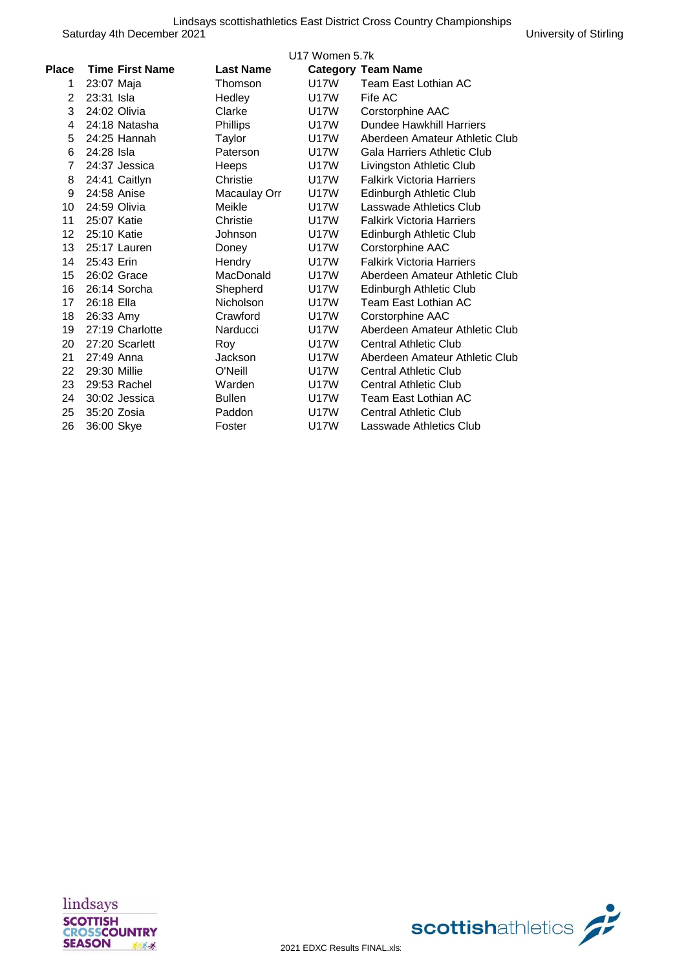|       |                        |                  | U17 Women 5.7k |                                  |
|-------|------------------------|------------------|----------------|----------------------------------|
| Place | <b>Time First Name</b> | <b>Last Name</b> |                | <b>Category Team Name</b>        |
| 1     | 23:07 Maja             | Thomson          | U17W           | Team East Lothian AC             |
| 2     | 23:31 Isla             | Hedley           | U17W           | Fife AC                          |
| 3     | 24:02 Olivia           | Clarke           | U17W           | Corstorphine AAC                 |
| 4     | 24:18 Natasha          | Phillips         | U17W           | Dundee Hawkhill Harriers         |
| 5     | 24:25 Hannah           | Taylor           | U17W           | Aberdeen Amateur Athletic Club   |
| 6     | 24:28 Isla             | Paterson         | U17W           | Gala Harriers Athletic Club      |
| 7     | 24:37 Jessica          | Heeps            | U17W           | Livingston Athletic Club         |
| 8     | 24:41 Caitlyn          | Christie         | <b>U17W</b>    | <b>Falkirk Victoria Harriers</b> |
| 9     | 24:58 Anise            | Macaulay Orr     | U17W           | Edinburgh Athletic Club          |
| 10    | 24:59 Olivia           | Meikle           | U17W           | Lasswade Athletics Club          |
| 11    | 25:07 Katie            | Christie         | U17W           | <b>Falkirk Victoria Harriers</b> |
| 12    | 25:10 Katie            | Johnson          | U17W           | Edinburgh Athletic Club          |
| 13    | 25:17 Lauren           | Doney            | U17W           | Corstorphine AAC                 |
| 14    | 25:43 Erin             | Hendry           | U17W           | <b>Falkirk Victoria Harriers</b> |
| 15    | 26:02 Grace            | MacDonald        | <b>U17W</b>    | Aberdeen Amateur Athletic Club   |
| 16    | 26:14 Sorcha           | Shepherd         | U17W           | Edinburgh Athletic Club          |
| 17    | 26:18 Ella             | Nicholson        | U17W           | Team East Lothian AC             |
| 18    | 26:33 Amy              | Crawford         | U17W           | Corstorphine AAC                 |
| 19    | 27:19 Charlotte        | Narducci         | U17W           | Aberdeen Amateur Athletic Club   |
| 20    | 27:20 Scarlett         | Roy              | U17W           | <b>Central Athletic Club</b>     |
| 21    | 27:49 Anna             | <b>Jackson</b>   | U17W           | Aberdeen Amateur Athletic Club   |
| 22    | 29:30 Millie           | O'Neill          | U17W           | <b>Central Athletic Club</b>     |
| 23    | 29:53 Rachel           | Warden           | U17W           | <b>Central Athletic Club</b>     |
| 24    | 30:02 Jessica          | <b>Bullen</b>    | U17W           | Team East Lothian AC             |
| 25    | 35:20 Zosia            | Paddon           | U17W           | <b>Central Athletic Club</b>     |
| 26    | 36:00 Skye             | Foster           | U17W           | Lasswade Athletics Club          |



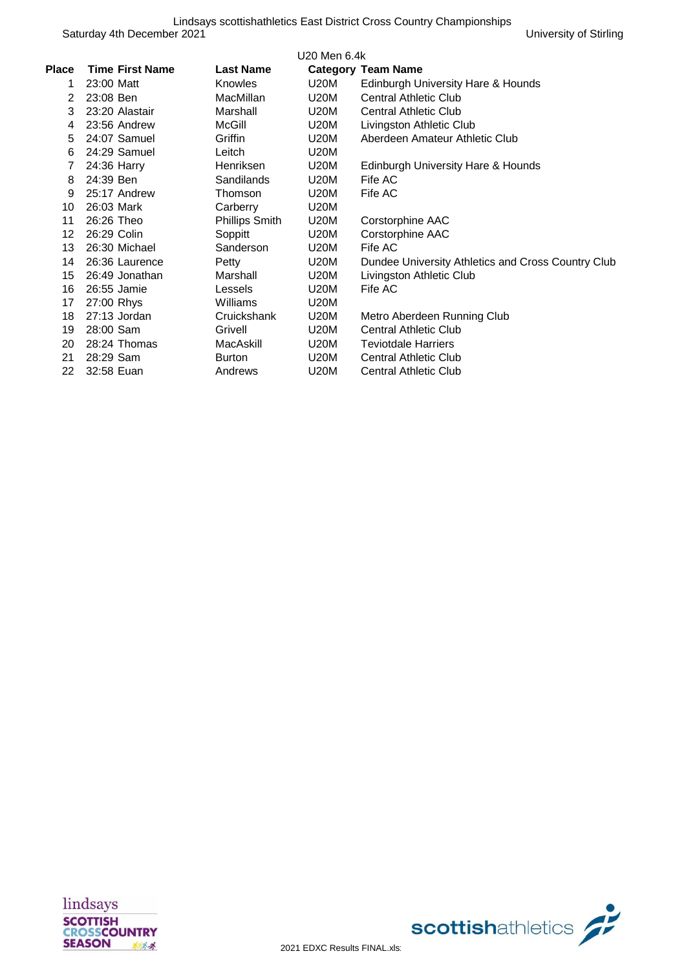| Place          | <b>Time First Name</b> | <b>Last Name</b> | U20 Men 6.4k | <b>Category Team Name</b>                          |
|----------------|------------------------|------------------|--------------|----------------------------------------------------|
| 1              | 23:00 Matt             | Knowles          | U20M         | Edinburgh University Hare & Hounds                 |
| $\overline{2}$ | 23:08 Ben              | <b>MacMillan</b> | U20M         | <b>Central Athletic Club</b>                       |
| 3              | 23:20 Alastair         | Marshall         | U20M         | <b>Central Athletic Club</b>                       |
| 4              | 23:56 Andrew           | McGill           | U20M         | Livingston Athletic Club                           |
| 5              | 24:07 Samuel           | Griffin          | U20M         | Aberdeen Amateur Athletic Club                     |
| 6              | 24:29 Samuel           | Leitch           | U20M         |                                                    |
| 7              | 24:36 Harry            | Henriksen        | U20M         | Edinburgh University Hare & Hounds                 |
| 8              | 24:39 Ben              | Sandilands       | U20M         | Fife AC                                            |
| 9              | 25:17 Andrew           | Thomson          | U20M         | Fife AC                                            |
| 10             | 26:03 Mark             | Carberry         | U20M         |                                                    |
| 11             | 26:26 Theo             | Phillips Smith   | U20M         | Corstorphine AAC                                   |
| 12             | 26:29 Colin            | Soppitt          | U20M         | Corstorphine AAC                                   |
| 13             | 26:30 Michael          | Sanderson        | U20M         | Fife AC                                            |
| 14             | 26:36 Laurence         | Petty            | U20M         | Dundee University Athletics and Cross Country Club |
| 15             | 26:49 Jonathan         | Marshall         | U20M         | Livingston Athletic Club                           |
| 16             | 26:55 Jamie            | Lessels          | U20M         | Fife AC                                            |
| 17             | 27:00 Rhys             | Williams         | U20M         |                                                    |
| 18             | 27:13 Jordan           | Cruickshank      | U20M         | Metro Aberdeen Running Club                        |
| 19             | 28:00 Sam              | Grivell          | U20M         | <b>Central Athletic Club</b>                       |
| 20             | 28:24 Thomas           | MacAskill        | U20M         | <b>Teviotdale Harriers</b>                         |
| 21             | 28:29 Sam              | <b>Burton</b>    | U20M         | <b>Central Athletic Club</b>                       |
| 22             | 32:58 Euan             | Andrews          | U20M         | <b>Central Athletic Club</b>                       |
|                |                        |                  |              |                                                    |



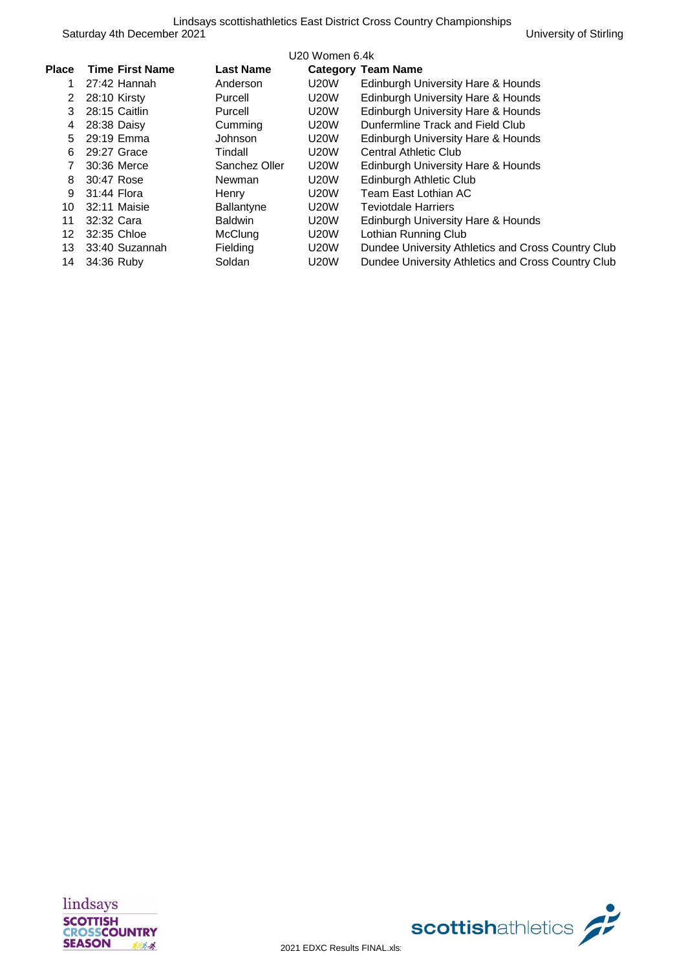|       | U20 Women 6.4k         |                  |             |                                                    |  |  |
|-------|------------------------|------------------|-------------|----------------------------------------------------|--|--|
| Place | <b>Time First Name</b> | <b>Last Name</b> |             | <b>Category Team Name</b>                          |  |  |
|       | $27:42$ Hannah         | Anderson         | <b>U20W</b> | Edinburgh University Hare & Hounds                 |  |  |
| 2     | 28:10 Kirsty           | Purcell          | <b>U20W</b> | Edinburgh University Hare & Hounds                 |  |  |
| 3     | 28:15 Caitlin          | Purcell          | <b>U20W</b> | Edinburgh University Hare & Hounds                 |  |  |
| 4     | 28:38 Daisy            | Cumming          | <b>U20W</b> | Dunfermline Track and Field Club                   |  |  |
| 5.    | 29:19 Emma             | <b>Johnson</b>   | <b>U20W</b> | Edinburgh University Hare & Hounds                 |  |  |
| 6     | 29:27 Grace            | Tindall          | <b>U20W</b> | <b>Central Athletic Club</b>                       |  |  |
|       | 30:36 Merce            | Sanchez Oller    | <b>U20W</b> | Edinburgh University Hare & Hounds                 |  |  |
| 8     | 30:47 Rose             | Newman           | <b>U20W</b> | Edinburgh Athletic Club                            |  |  |
| 9     | 31:44 Flora            | Henry            | <b>U20W</b> | Team East Lothian AC                               |  |  |
| 10    | 32:11 Maisie           | Ballantyne       | <b>U20W</b> | <b>Teviotdale Harriers</b>                         |  |  |
| 11    | 32:32 Cara             | <b>Baldwin</b>   | <b>U20W</b> | Edinburgh University Hare & Hounds                 |  |  |
| 12.   | 32:35 Chloe            | McClung          | <b>U20W</b> | Lothian Running Club                               |  |  |
| 13    | 33:40 Suzannah         | Fielding         | <b>U20W</b> | Dundee University Athletics and Cross Country Club |  |  |
| 14    | 34:36 Ruby             | Soldan           | <b>U20W</b> | Dundee University Athletics and Cross Country Club |  |  |
|       |                        |                  |             |                                                    |  |  |



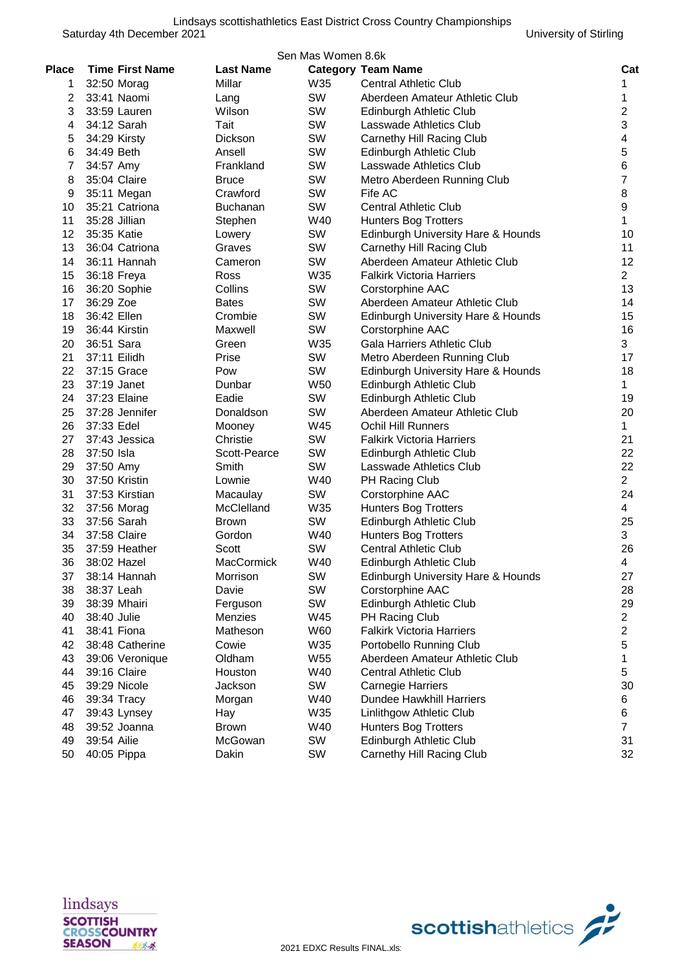|              | Sen Mas Women 8.6k           |                    |     |                                    |                           |  |  |  |
|--------------|------------------------------|--------------------|-----|------------------------------------|---------------------------|--|--|--|
| <b>Place</b> | <b>Time First Name</b>       | <b>Last Name</b>   |     | <b>Category Team Name</b>          | Cat                       |  |  |  |
| 1            | 32:50 Morag                  | Millar             | W35 | <b>Central Athletic Club</b>       | 1                         |  |  |  |
| 2            | 33:41 Naomi                  | Lang               | SW  | Aberdeen Amateur Athletic Club     | 1                         |  |  |  |
| 3            | 33:59 Lauren                 | Wilson             | SW  | Edinburgh Athletic Club            | $\overline{c}$            |  |  |  |
| 4            | 34:12 Sarah                  | Tait               | SW  | Lasswade Athletics Club            | $\ensuremath{\mathsf{3}}$ |  |  |  |
| 5            | 34:29 Kirsty                 | Dickson            | SW  | Carnethy Hill Racing Club          | 4                         |  |  |  |
| 6            | 34:49 Beth                   | Ansell             | SW  | Edinburgh Athletic Club            | 5                         |  |  |  |
| 7            | 34:57 Amy                    | Frankland          | SW  | Lasswade Athletics Club            | 6                         |  |  |  |
| 8            | 35:04 Claire                 | <b>Bruce</b>       | SW  | Metro Aberdeen Running Club        | $\overline{7}$            |  |  |  |
| 9            | 35:11 Megan                  | Crawford           | SW  | Fife AC                            | 8                         |  |  |  |
| 10           | 35:21 Catriona               | <b>Buchanan</b>    | SW  | <b>Central Athletic Club</b>       | 9                         |  |  |  |
| 11           | 35:28 Jillian                | Stephen            | W40 | <b>Hunters Bog Trotters</b>        | 1                         |  |  |  |
| 12           | 35:35 Katie                  | Lowery             | SW  | Edinburgh University Hare & Hounds | 10                        |  |  |  |
| 13           | 36:04 Catriona               | Graves             | SW  | Carnethy Hill Racing Club          | 11                        |  |  |  |
| 14           | 36:11 Hannah                 | Cameron            | SW  | Aberdeen Amateur Athletic Club     | 12                        |  |  |  |
| 15           | 36:18 Freya                  | Ross               | W35 | <b>Falkirk Victoria Harriers</b>   | $\overline{2}$            |  |  |  |
| 16           | 36:20 Sophie                 | Collins            | SW  | Corstorphine AAC                   | 13                        |  |  |  |
| 17           | 36:29 Zoe                    | <b>Bates</b>       | SW  | Aberdeen Amateur Athletic Club     | 14                        |  |  |  |
| 18           | 36:42 Ellen                  | Crombie            | SW  | Edinburgh University Hare & Hounds | 15                        |  |  |  |
| 19           | 36:44 Kirstin                | Maxwell            | SW  | Corstorphine AAC                   | 16                        |  |  |  |
| 20           | 36:51 Sara                   | Green              | W35 | Gala Harriers Athletic Club        | 3                         |  |  |  |
| 21           | 37:11 Eilidh                 | Prise              | SW  | Metro Aberdeen Running Club        | 17                        |  |  |  |
| 22           | 37:15 Grace                  | Pow                | SW  | Edinburgh University Hare & Hounds | 18                        |  |  |  |
| 23           | 37:19 Janet                  | Dunbar             | W50 | Edinburgh Athletic Club            | $\mathbf{1}$              |  |  |  |
| 24           | 37:23 Elaine                 | Eadie              | SW  | Edinburgh Athletic Club            | 19                        |  |  |  |
| 25           | 37:28 Jennifer               | Donaldson          | SW  | Aberdeen Amateur Athletic Club     | 20                        |  |  |  |
| 26           | 37:33 Edel                   | Mooney             | W45 | <b>Ochil Hill Runners</b>          | $\mathbf{1}$              |  |  |  |
| 27           | 37:43 Jessica                | Christie           | SW  | Falkirk Victoria Harriers          | 21                        |  |  |  |
| 28           | 37:50 Isla                   | Scott-Pearce       | SW  | Edinburgh Athletic Club            | 22                        |  |  |  |
| 29           | 37:50 Amy                    | Smith              | SW  | Lasswade Athletics Club            | 22                        |  |  |  |
| 30           | 37:50 Kristin                | Lownie             | W40 | PH Racing Club                     | $\overline{2}$            |  |  |  |
| 31           | 37:53 Kirstian               | Macaulay           | SW  | Corstorphine AAC                   | 24                        |  |  |  |
| 32           | 37:56 Morag                  | McClelland         | W35 | <b>Hunters Bog Trotters</b>        | $\overline{4}$            |  |  |  |
| 33           | 37:56 Sarah                  | Brown              | SW  | Edinburgh Athletic Club            | 25                        |  |  |  |
| 34           | 37:58 Claire                 | Gordon             | W40 | <b>Hunters Bog Trotters</b>        | 3                         |  |  |  |
| 35           | 37:59 Heather                | Scott              | SW  | <b>Central Athletic Club</b>       | 26                        |  |  |  |
| 36           | 38:02 Hazel                  | <b>MacCormick</b>  | W40 | Edinburgh Athletic Club            | 4                         |  |  |  |
| 37           | 38:14 Hannah                 | Morrison           | SW  | Edinburgh University Hare & Hounds | 27                        |  |  |  |
| 38           | 38:37 Leah                   | Davie              | SW  | Corstorphine AAC                   | 28                        |  |  |  |
| 39           | 38:39 Mhairi                 | Ferguson           | SW  | Edinburgh Athletic Club            | 29                        |  |  |  |
| 40           | 38:40 Julie                  | Menzies            | W45 | PH Racing Club                     | $\overline{2}$            |  |  |  |
| 41           | 38:41 Fiona                  | Matheson           | W60 | <b>Falkirk Victoria Harriers</b>   | $\overline{c}$            |  |  |  |
| 42           | 38:48 Catherine              | Cowie              | W35 | Portobello Running Club            | $\sqrt{5}$                |  |  |  |
| 43           | 39:06 Veronique              | Oldham             | W55 | Aberdeen Amateur Athletic Club     | 1                         |  |  |  |
|              |                              |                    | W40 | <b>Central Athletic Club</b>       |                           |  |  |  |
| 44<br>45     | 39:16 Claire<br>39:29 Nicole | Houston<br>Jackson | SW  | <b>Carnegie Harriers</b>           | 5<br>30                   |  |  |  |
| 46           |                              |                    | W40 | Dundee Hawkhill Harriers           |                           |  |  |  |
|              | 39:34 Tracy                  | Morgan             | W35 |                                    | 6                         |  |  |  |
| 47           | 39:43 Lynsey<br>39:52 Joanna | Hay                | W40 | Linlithgow Athletic Club           | 6<br>$\overline{7}$       |  |  |  |
| 48           |                              | <b>Brown</b>       |     | <b>Hunters Bog Trotters</b>        |                           |  |  |  |
| 49           | 39:54 Ailie                  | McGowan            | SW  | Edinburgh Athletic Club            | 31                        |  |  |  |
| 50           | 40:05 Pippa                  | Dakin              | SW  | Carnethy Hill Racing Club          | 32                        |  |  |  |



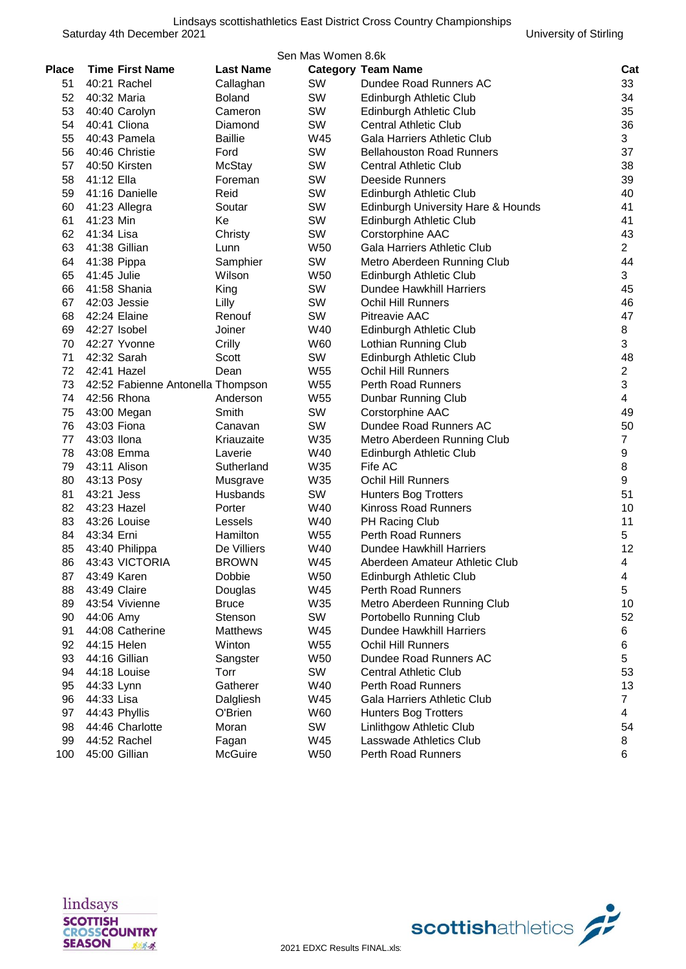| Sen Mas Women 8.6k |                                   |                  |                 |                                    |                |  |  |
|--------------------|-----------------------------------|------------------|-----------------|------------------------------------|----------------|--|--|
| <b>Place</b>       | <b>Time First Name</b>            | <b>Last Name</b> |                 | <b>Category Team Name</b>          | Cat            |  |  |
| 51                 | 40:21 Rachel                      | Callaghan        | SW              | Dundee Road Runners AC             | 33             |  |  |
| 52                 | 40:32 Maria                       | <b>Boland</b>    | SW              | Edinburgh Athletic Club            | 34             |  |  |
| 53                 | 40:40 Carolyn                     | Cameron          | SW              | Edinburgh Athletic Club            | 35             |  |  |
| 54                 | 40:41 Cliona                      | Diamond          | SW              | <b>Central Athletic Club</b>       | 36             |  |  |
| 55                 | 40:43 Pamela                      | <b>Baillie</b>   | W45             | Gala Harriers Athletic Club        | 3              |  |  |
| 56                 | 40:46 Christie                    | Ford             | SW              | <b>Bellahouston Road Runners</b>   | 37             |  |  |
| 57                 | 40:50 Kirsten                     | <b>McStay</b>    | SW              | <b>Central Athletic Club</b>       | 38             |  |  |
| 58                 | 41:12 Ella                        | Foreman          | SW              | <b>Deeside Runners</b>             | 39             |  |  |
| 59                 | 41:16 Danielle                    | Reid             | SW              | Edinburgh Athletic Club            | 40             |  |  |
| 60                 | 41:23 Allegra                     | Soutar           | SW              | Edinburgh University Hare & Hounds | 41             |  |  |
| 61                 | 41:23 Min                         | Ke               | SW              | Edinburgh Athletic Club            | 41             |  |  |
| 62                 | 41:34 Lisa                        | Christy          | SW              | Corstorphine AAC                   | 43             |  |  |
| 63                 | 41:38 Gillian                     | Lunn             | W50             | Gala Harriers Athletic Club        | $\overline{a}$ |  |  |
| 64                 | 41:38 Pippa                       | Samphier         | SW              | Metro Aberdeen Running Club        | 44             |  |  |
| 65                 | 41:45 Julie                       | Wilson           | W50             | Edinburgh Athletic Club            | 3              |  |  |
| 66                 | 41:58 Shania                      | King             | SW              | <b>Dundee Hawkhill Harriers</b>    | 45             |  |  |
| 67                 | 42:03 Jessie                      | Lilly            | SW              | <b>Ochil Hill Runners</b>          | 46             |  |  |
| 68                 | 42:24 Elaine                      | Renouf           | SW              | Pitreavie AAC                      | 47             |  |  |
| 69                 | 42:27 Isobel                      | Joiner           | W40             | Edinburgh Athletic Club            | 8              |  |  |
| 70                 | 42:27 Yvonne                      | Crilly           | W60             | Lothian Running Club               | 3              |  |  |
| 71                 | 42:32 Sarah                       | Scott            | SW              | Edinburgh Athletic Club            | 48             |  |  |
| 72                 | 42:41 Hazel                       | Dean             | W55             | <b>Ochil Hill Runners</b>          | $\overline{a}$ |  |  |
| 73                 | 42:52 Fabienne Antonella Thompson |                  | W55             | Perth Road Runners                 | 3              |  |  |
| 74                 | 42:56 Rhona                       | Anderson         | W55             | Dunbar Running Club                | 4              |  |  |
| 75                 | 43:00 Megan                       | Smith            | SW              | Corstorphine AAC                   | 49             |  |  |
| 76                 | 43:03 Fiona                       | Canavan          | SW              | Dundee Road Runners AC             | 50             |  |  |
| 77                 | 43:03 Ilona                       | Kriauzaite       | W35             | Metro Aberdeen Running Club        | 7              |  |  |
| 78                 | 43:08 Emma                        | Laverie          | W40             | Edinburgh Athletic Club            | 9              |  |  |
| 79                 | 43:11 Alison                      | Sutherland       | W35             | Fife AC                            | 8              |  |  |
| 80                 | 43:13 Posy                        | Musgrave         | W35             | Ochil Hill Runners                 | 9              |  |  |
| 81                 | 43:21 Jess                        | Husbands         | SW              | <b>Hunters Bog Trotters</b>        | 51             |  |  |
| 82                 | 43:23 Hazel                       | Porter           | W40             | <b>Kinross Road Runners</b>        | 10             |  |  |
| 83                 | 43:26 Louise                      | Lessels          | W40             | PH Racing Club                     | 11             |  |  |
| 84                 | 43:34 Erni                        | Hamilton         | W <sub>55</sub> | Perth Road Runners                 | 5              |  |  |
| 85                 | 43:40 Philippa                    | De Villiers      | W40             | <b>Dundee Hawkhill Harriers</b>    | 12             |  |  |
|                    | 86 43:43 VICTORIA                 | <b>BROWN</b>     | W45             | Aberdeen Amateur Athletic Club     | 4              |  |  |
| 87                 | 43:49 Karen                       | Dobbie           | W50             | Edinburgh Athletic Club            | 4              |  |  |
| 88                 | 43:49 Claire                      | Douglas          | W45             | Perth Road Runners                 | 5              |  |  |
| 89                 | 43:54 Vivienne                    | <b>Bruce</b>     | W35             | Metro Aberdeen Running Club        | 10             |  |  |
| 90                 | 44:06 Amy                         | Stenson          | SW              | Portobello Running Club            | 52             |  |  |
| 91                 | 44:08 Catherine                   | Matthews         | W45             | <b>Dundee Hawkhill Harriers</b>    | 6              |  |  |
| 92                 | 44:15 Helen                       | Winton           | W <sub>55</sub> | Ochil Hill Runners                 | 6              |  |  |
| 93                 | 44:16 Gillian                     | Sangster         | W50             | Dundee Road Runners AC             | 5              |  |  |
| 94                 | 44:18 Louise                      | Torr             | SW              | <b>Central Athletic Club</b>       | 53             |  |  |
| 95                 | 44:33 Lynn                        | Gatherer         | W40             | <b>Perth Road Runners</b>          | 13             |  |  |
| 96                 | 44:33 Lisa                        | Dalgliesh        | W45             | Gala Harriers Athletic Club        | 7              |  |  |
| 97                 | 44:43 Phyllis                     | O'Brien          | W60             | <b>Hunters Bog Trotters</b>        | 4              |  |  |
| 98                 | 44:46 Charlotte                   | Moran            | SW              | Linlithgow Athletic Club           | 54             |  |  |
| 99                 | 44:52 Rachel                      | Fagan            | W45             | Lasswade Athletics Club            | 8              |  |  |
| 100                | 45:00 Gillian                     | McGuire          | W50             | Perth Road Runners                 | 6              |  |  |
|                    |                                   |                  |                 |                                    |                |  |  |



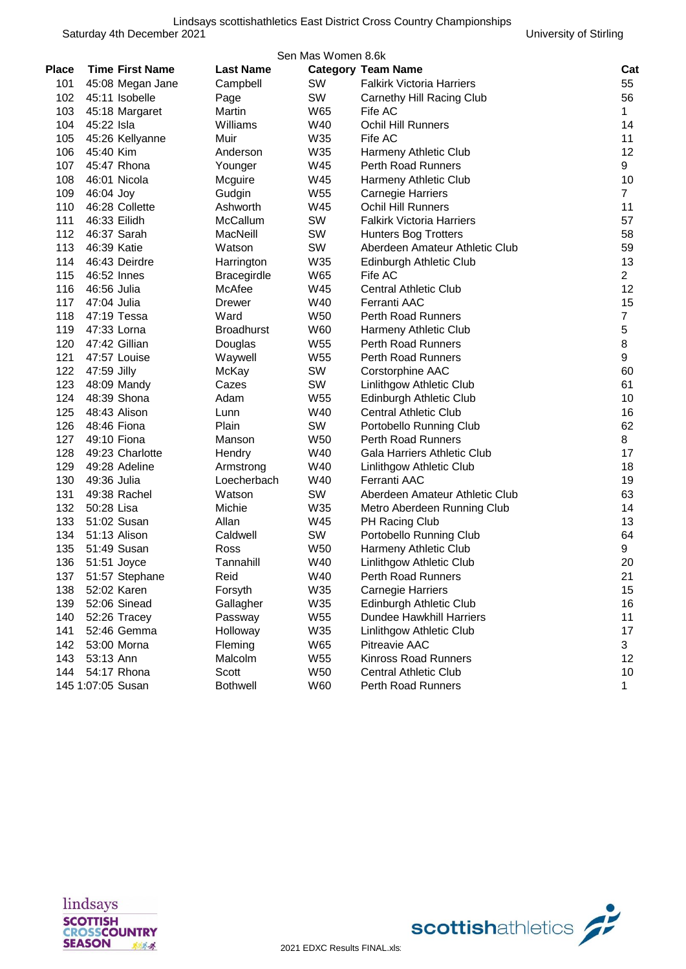|              | Sen Mas Women 8.6k         |                         |                 |                                    |                |  |  |
|--------------|----------------------------|-------------------------|-----------------|------------------------------------|----------------|--|--|
| <b>Place</b> | <b>Time First Name</b>     | <b>Last Name</b>        |                 | <b>Category Team Name</b>          | Cat            |  |  |
| 101          | 45:08 Megan Jane           | Campbell                | SW              | <b>Falkirk Victoria Harriers</b>   | 55             |  |  |
| 102          | 45:11 Isobelle             | Page                    | SW              | Carnethy Hill Racing Club          | 56             |  |  |
| 103          | 45:18 Margaret             | Martin                  | W65             | Fife AC                            | $\mathbf{1}$   |  |  |
| 104          | 45:22 Isla                 | Williams                | W40             | <b>Ochil Hill Runners</b>          | 14             |  |  |
| 105          | 45:26 Kellyanne            | Muir                    | W35             | Fife AC                            | 11             |  |  |
| 106          | 45:40 Kim                  | Anderson                | W35             | Harmeny Athletic Club              | 12             |  |  |
| 107          | 45:47 Rhona                | Younger                 | W45             | Perth Road Runners                 | 9              |  |  |
| 108          | 46:01 Nicola               | Mcguire                 | W45             | Harmeny Athletic Club              | 10             |  |  |
| 109          | 46:04 Joy                  | Gudgin                  | W55             | <b>Carnegie Harriers</b>           | $\overline{7}$ |  |  |
| 110          | 46:28 Collette             | Ashworth                | W45             | <b>Ochil Hill Runners</b>          | 11             |  |  |
| 111          | 46:33 Eilidh               | McCallum                | SW              | <b>Falkirk Victoria Harriers</b>   | 57             |  |  |
| 112          | 46:37 Sarah                | MacNeill                | SW              | <b>Hunters Bog Trotters</b>        | 58             |  |  |
| 113          | 46:39 Katie                | Watson                  | SW              | Aberdeen Amateur Athletic Club     | 59             |  |  |
| 114          | 46:43 Deirdre              | Harrington              | W35             | Edinburgh Athletic Club            | 13             |  |  |
| 115          | 46:52 Innes                | <b>Bracegirdle</b>      | W65             | Fife AC                            | $\overline{2}$ |  |  |
| 116          | 46:56 Julia                | McAfee<br><b>Drewer</b> | W45<br>W40      | <b>Central Athletic Club</b>       | 12<br>15       |  |  |
| 117<br>118   | 47:04 Julia<br>47:19 Tessa | Ward                    | W50             | Ferranti AAC<br>Perth Road Runners | $\overline{7}$ |  |  |
| 119          | 47:33 Lorna                | <b>Broadhurst</b>       | W60             | Harmeny Athletic Club              | 5              |  |  |
| 120          | 47:42 Gillian              | Douglas                 | W55             | Perth Road Runners                 | 8              |  |  |
| 121          | 47:57 Louise               | Waywell                 | W55             | Perth Road Runners                 | 9              |  |  |
| 122          | 47:59 Jilly                | McKay                   | SW              | Corstorphine AAC                   | 60             |  |  |
| 123          | 48:09 Mandy                | Cazes                   | SW              | Linlithgow Athletic Club           | 61             |  |  |
| 124          | 48:39 Shona                | Adam                    | W55             | Edinburgh Athletic Club            | 10             |  |  |
| 125          | 48:43 Alison               | Lunn                    | W40             | <b>Central Athletic Club</b>       | 16             |  |  |
| 126          | 48:46 Fiona                | Plain                   | SW              | Portobello Running Club            | 62             |  |  |
| 127          | 49:10 Fiona                | Manson                  | W50             | <b>Perth Road Runners</b>          | 8              |  |  |
| 128          | 49:23 Charlotte            | Hendry                  | W40             | Gala Harriers Athletic Club        | 17             |  |  |
| 129          | 49:28 Adeline              | Armstrong               | W40             | Linlithgow Athletic Club           | 18             |  |  |
| 130          | 49:36 Julia                | Loecherbach             | W40             | Ferranti AAC                       | 19             |  |  |
| 131          | 49:38 Rachel               | Watson                  | SW              | Aberdeen Amateur Athletic Club     | 63             |  |  |
| 132          | 50:28 Lisa                 | Michie                  | W35             | Metro Aberdeen Running Club        | 14             |  |  |
| 133          | 51:02 Susan                | Allan                   | W45             | PH Racing Club                     | 13             |  |  |
| 134          | 51:13 Alison               | Caldwell                | SW              | Portobello Running Club            | 64             |  |  |
| 135          | 51:49 Susan                | Ross                    | W <sub>50</sub> | Harmeny Athletic Club              | 9              |  |  |
| 136          | 51:51 Joyce                | Tannahill               | W40             | Linlithgow Athletic Club           | 20             |  |  |
| 137          | 51:57 Stephane             | Reid                    | W40             | Perth Road Runners                 | 21             |  |  |
| 138          | 52:02 Karen                | Forsyth                 | W35             | <b>Carnegie Harriers</b>           | 15             |  |  |
| 139          | 52:06 Sinead               | Gallagher               | W35             | Edinburgh Athletic Club            | 16             |  |  |
| 140          | 52:26 Tracey               | Passway                 | W55             | <b>Dundee Hawkhill Harriers</b>    | 11             |  |  |
| 141          | 52:46 Gemma                | Holloway                | W35             | Linlithgow Athletic Club           | 17             |  |  |
| 142          | 53:00 Morna                | Fleming                 | W65             | Pitreavie AAC                      | 3              |  |  |
| 143          | 53:13 Ann                  | Malcolm                 | W55             | <b>Kinross Road Runners</b>        | 12             |  |  |
| 144          | 54:17 Rhona                | Scott                   | W50             | <b>Central Athletic Club</b>       | 10             |  |  |
|              | 145 1:07:05 Susan          | <b>Bothwell</b>         | W60             | Perth Road Runners                 | $\mathbf 1$    |  |  |



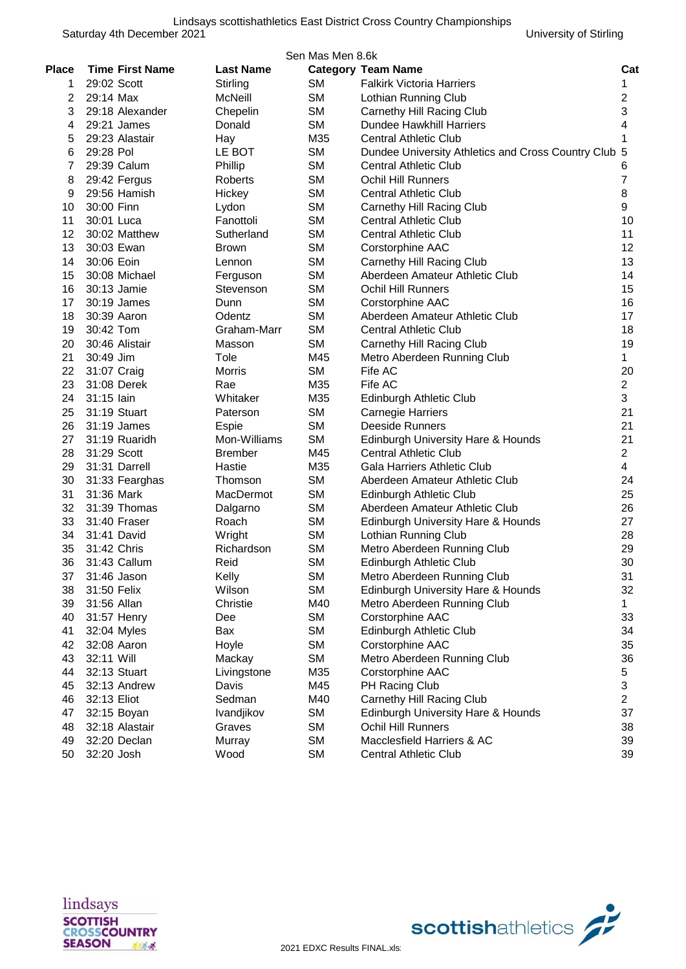|              |                        |                  | Sen Mas Men 8.6k |                                                      |                |
|--------------|------------------------|------------------|------------------|------------------------------------------------------|----------------|
| <b>Place</b> | <b>Time First Name</b> | <b>Last Name</b> |                  | <b>Category Team Name</b>                            | Cat            |
| 1            | 29:02 Scott            | Stirling         | SΜ               | <b>Falkirk Victoria Harriers</b>                     | 1              |
| 2            | 29:14 Max              | McNeill          | <b>SM</b>        | Lothian Running Club                                 | $\overline{2}$ |
| 3            | 29:18 Alexander        | Chepelin         | <b>SM</b>        | Carnethy Hill Racing Club                            | 3              |
| 4            | 29:21 James            | Donald           | <b>SM</b>        | <b>Dundee Hawkhill Harriers</b>                      | 4              |
| 5            | 29:23 Alastair         | Hay              | M35              | <b>Central Athletic Club</b>                         | 1              |
| 6            | 29:28 Pol              | LE BOT           | <b>SM</b>        | Dundee University Athletics and Cross Country Club 5 |                |
| 7            | 29:39 Calum            | Phillip          | <b>SM</b>        | <b>Central Athletic Club</b>                         | 6              |
| 8            | 29:42 Fergus           | Roberts          | <b>SM</b>        | <b>Ochil Hill Runners</b>                            | 7              |
| 9            | 29:56 Hamish           | Hickey           | <b>SM</b>        | <b>Central Athletic Club</b>                         | 8              |
| 10           | 30:00 Finn             | Lydon            | <b>SM</b>        | Carnethy Hill Racing Club                            | 9              |
| 11           | 30:01 Luca             | Fanottoli        | <b>SM</b>        | <b>Central Athletic Club</b>                         | 10             |
| 12           | 30:02 Matthew          | Sutherland       | <b>SM</b>        | <b>Central Athletic Club</b>                         | 11             |
| 13           | 30:03 Ewan             | <b>Brown</b>     | <b>SM</b>        | Corstorphine AAC                                     | 12             |
| 14           | 30:06 Eoin             | Lennon           | <b>SM</b>        | Carnethy Hill Racing Club                            | 13             |
| 15           | 30:08 Michael          | Ferguson         | <b>SM</b>        | Aberdeen Amateur Athletic Club                       | 14             |
| 16           | 30:13 Jamie            | Stevenson        | <b>SM</b>        | <b>Ochil Hill Runners</b>                            | 15             |
| 17           | 30:19 James            | Dunn             | <b>SM</b>        | Corstorphine AAC                                     | 16             |
| 18           | 30:39 Aaron            | Odentz           | <b>SM</b>        | Aberdeen Amateur Athletic Club                       | 17             |
| 19           | 30:42 Tom              | Graham-Marr      | <b>SM</b>        | <b>Central Athletic Club</b>                         | 18             |
| 20           | 30:46 Alistair         | Masson           | <b>SM</b>        | Carnethy Hill Racing Club                            | 19             |
| 21           | 30:49 Jim              | Tole             | M45              | Metro Aberdeen Running Club                          | 1              |
| 22           | 31:07 Craig            | <b>Morris</b>    | <b>SM</b>        | Fife AC                                              | 20             |
| 23           | 31:08 Derek            | Rae              | M35              | Fife AC                                              | $\overline{2}$ |
| 24           | 31:15 lain             | Whitaker         | M35              | Edinburgh Athletic Club                              | 3              |
| 25           | 31:19 Stuart           | Paterson         | <b>SM</b>        | <b>Carnegie Harriers</b>                             | 21             |
| 26           | 31:19 James            | Espie            | <b>SM</b>        | <b>Deeside Runners</b>                               | 21             |
| 27           | 31:19 Ruaridh          | Mon-Williams     | <b>SM</b>        | Edinburgh University Hare & Hounds                   | 21             |
| 28           | 31:29 Scott            | <b>Brember</b>   | M45              | <b>Central Athletic Club</b>                         | $\overline{2}$ |
| 29           | 31:31 Darrell          | Hastie           | M35              | Gala Harriers Athletic Club                          | $\overline{4}$ |
| 30           | 31:33 Fearghas         | Thomson          | <b>SM</b>        | Aberdeen Amateur Athletic Club                       | 24             |
| 31           | 31:36 Mark             | MacDermot        | <b>SM</b>        | Edinburgh Athletic Club                              | 25             |
| 32           | 31:39 Thomas           | Dalgarno         | <b>SM</b>        | Aberdeen Amateur Athletic Club                       | 26             |
| 33           | 31:40 Fraser           | Roach            | <b>SM</b>        | Edinburgh University Hare & Hounds                   | 27             |
| 34           | 31:41 David            | Wright           | SМ               | Lothian Running Club                                 | 28             |
| 35           | 31:42 Chris            | Richardson       | SМ               | Metro Aberdeen Running Club                          | 29             |
| 36           | 31:43 Callum           | Reid             | SM               | Edinburgh Athletic Club                              | 30             |
| 37           | 31:46 Jason            | Kelly            | <b>SM</b>        | Metro Aberdeen Running Club                          | 31             |
| 38           | 31:50 Felix            | Wilson           | <b>SM</b>        | Edinburgh University Hare & Hounds                   | 32             |
| 39           | 31:56 Allan            | Christie         | M40              | Metro Aberdeen Running Club                          | $\mathbf{1}$   |
| 40           | 31:57 Henry            | Dee              | <b>SM</b>        | Corstorphine AAC                                     | 33             |
| 41           | 32:04 Myles            | Bax              | <b>SM</b>        | Edinburgh Athletic Club                              | 34             |
| 42           | 32:08 Aaron            | Hoyle            | <b>SM</b>        | Corstorphine AAC                                     | 35             |
| 43           | 32:11 Will             | Mackay           | SM               | Metro Aberdeen Running Club                          | 36             |
| 44           | 32:13 Stuart           | Livingstone      | M35              | Corstorphine AAC                                     | 5              |
| 45           | 32:13 Andrew           | Davis            | M45              | PH Racing Club                                       | 3              |
| 46           | 32:13 Eliot            | Sedman           | M40              | Carnethy Hill Racing Club                            | 2              |
| 47           | 32:15 Boyan            | Ivandjikov       | SM               | Edinburgh University Hare & Hounds                   | 37             |
| 48           | 32:18 Alastair         | Graves           | SМ               | Ochil Hill Runners                                   | 38             |
| 49           | 32:20 Declan           | Murray           | SМ               | Macclesfield Harriers & AC                           | 39             |
| 50           | 32:20 Josh             | Wood             | <b>SM</b>        | <b>Central Athletic Club</b>                         | 39             |



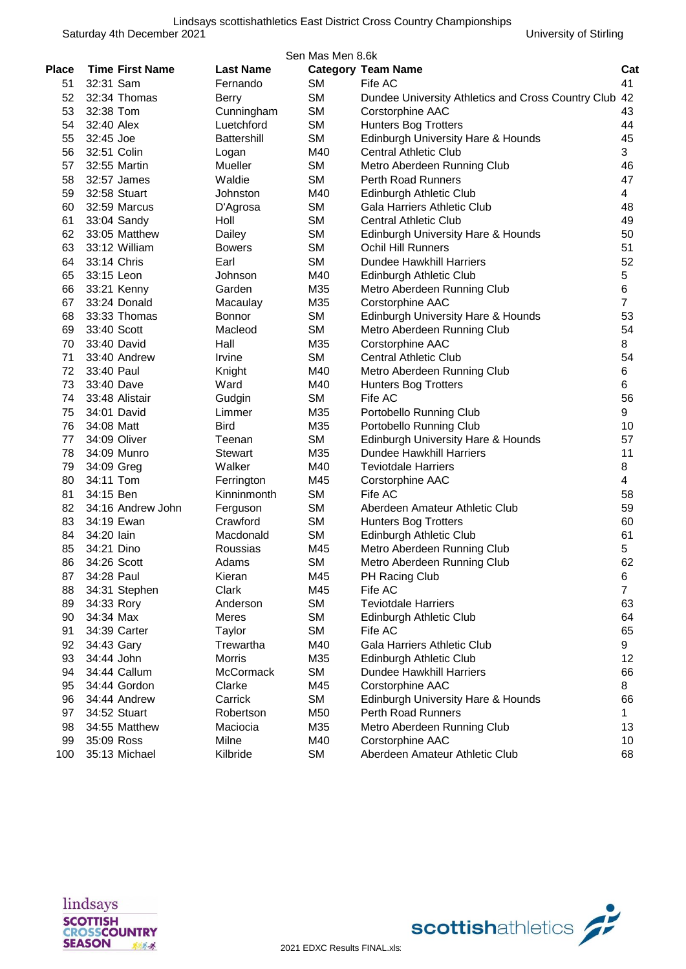|              | Sen Mas Men 8.6k       |                      |           |                                                          |                |  |  |  |
|--------------|------------------------|----------------------|-----------|----------------------------------------------------------|----------------|--|--|--|
| <b>Place</b> | <b>Time First Name</b> | <b>Last Name</b>     |           | <b>Category Team Name</b>                                | Cat            |  |  |  |
| 51           | 32:31 Sam              | Fernando             | SM        | Fife AC                                                  | 41             |  |  |  |
| 52           | 32:34 Thomas           | Berry                | <b>SM</b> | Dundee University Athletics and Cross Country Club       | 42             |  |  |  |
| 53           | 32:38 Tom              | Cunningham           | <b>SM</b> | Corstorphine AAC                                         | 43             |  |  |  |
| 54           | 32:40 Alex             | Luetchford           | <b>SM</b> | Hunters Bog Trotters                                     | 44             |  |  |  |
| 55           | 32:45 Joe              | Battershill          | <b>SM</b> | Edinburgh University Hare & Hounds                       | 45             |  |  |  |
| 56           | 32:51 Colin            | Logan                | M40       | <b>Central Athletic Club</b>                             | 3              |  |  |  |
| 57           | 32:55 Martin           | Mueller              | SM        | Metro Aberdeen Running Club                              | 46             |  |  |  |
| 58           | 32:57 James            | Waldie               | <b>SM</b> | <b>Perth Road Runners</b>                                | 47             |  |  |  |
| 59           | 32:58 Stuart           | Johnston             | M40       | <b>Edinburgh Athletic Club</b>                           | 4              |  |  |  |
| 60           | 32:59 Marcus           | D'Agrosa             | <b>SM</b> | Gala Harriers Athletic Club                              | 48             |  |  |  |
| 61           | 33:04 Sandy            | Holl                 | <b>SM</b> | <b>Central Athletic Club</b>                             | 49             |  |  |  |
| 62           | 33:05 Matthew          | Dailey               | <b>SM</b> | Edinburgh University Hare & Hounds                       | 50             |  |  |  |
| 63           | 33:12 William          | <b>Bowers</b>        | <b>SM</b> | <b>Ochil Hill Runners</b>                                | 51             |  |  |  |
| 64           | 33:14 Chris            | Earl                 | SM        | Dundee Hawkhill Harriers                                 | 52             |  |  |  |
| 65           | 33:15 Leon             | Johnson              | M40       | Edinburgh Athletic Club                                  | 5              |  |  |  |
| 66           | 33:21 Kenny            | Garden               | M35       | Metro Aberdeen Running Club                              | 6              |  |  |  |
| 67           | 33:24 Donald           | Macaulay             | M35       | Corstorphine AAC                                         | $\overline{7}$ |  |  |  |
| 68           | 33:33 Thomas           | <b>Bonnor</b>        | <b>SM</b> | Edinburgh University Hare & Hounds                       | 53             |  |  |  |
| 69           | 33:40 Scott            | Macleod              | <b>SM</b> | Metro Aberdeen Running Club                              | 54             |  |  |  |
| 70           | 33:40 David            | Hall                 | M35       | Corstorphine AAC                                         | 8              |  |  |  |
| 71           | 33:40 Andrew           | Irvine               | SM        | <b>Central Athletic Club</b>                             | 54             |  |  |  |
| 72           | 33:40 Paul             | Knight               | M40       | Metro Aberdeen Running Club                              | 6              |  |  |  |
| 73           | 33:40 Dave             | Ward                 | M40       | <b>Hunters Bog Trotters</b>                              | 6              |  |  |  |
| 74           | 33:48 Alistair         | Gudgin               | <b>SM</b> | Fife AC                                                  | 56             |  |  |  |
| 75           | 34:01 David            | Limmer               | M35       | Portobello Running Club                                  | 9              |  |  |  |
| 76           | 34:08 Matt             | <b>Bird</b>          | M35       | Portobello Running Club                                  | 10             |  |  |  |
| 77           | 34:09 Oliver           | Teenan               | <b>SM</b> | Edinburgh University Hare & Hounds                       | 57             |  |  |  |
| 78           | 34:09 Munro            | <b>Stewart</b>       | M35       | Dundee Hawkhill Harriers                                 | 11             |  |  |  |
| 79           | 34:09 Greg             | Walker               | M40       | <b>Teviotdale Harriers</b>                               | 8              |  |  |  |
| 80           | 34:11 Tom              | Ferrington           | M45       | Corstorphine AAC                                         | 4              |  |  |  |
| 81           | 34:15 Ben              | Kinninmonth          | <b>SM</b> | Fife AC                                                  | 58             |  |  |  |
| 82           | 34:16 Andrew John      | Ferguson             | <b>SM</b> | Aberdeen Amateur Athletic Club                           | 59             |  |  |  |
| 83           | 34:19 Ewan             | Crawford             | SM        | <b>Hunters Bog Trotters</b>                              | 60             |  |  |  |
| 84           | 34:20 lain             | Macdonald            | SM        | Edinburgh Athletic Club                                  | 61             |  |  |  |
| 85           | 34:21 Dino             | Roussias             | M45       | Metro Aberdeen Running Club                              | 5              |  |  |  |
| 86           | 34:26 Scott            | Adams                | <b>SM</b> | Metro Aberdeen Running Club                              | 62             |  |  |  |
| 87           | 34:28 Paul             | Kieran               | M45       | PH Racing Club                                           | 6              |  |  |  |
| 88           | 34:31 Stephen          | Clark                | M45       | Fife AC                                                  | $\overline{7}$ |  |  |  |
| 89           | 34:33 Rory             | Anderson             | <b>SM</b> | <b>Teviotdale Harriers</b>                               | 63             |  |  |  |
| 90           | 34:34 Max              | <b>Meres</b>         | <b>SM</b> | Edinburgh Athletic Club                                  | 64             |  |  |  |
| 91           | 34:39 Carter           | Taylor               | SM        | Fife AC                                                  | 65             |  |  |  |
| 92           | 34:43 Gary             | Trewartha            | M40       | Gala Harriers Athletic Club                              | 9              |  |  |  |
| 93           | 34:44 John             | Morris               | M35       | Edinburgh Athletic Club                                  | 12             |  |  |  |
|              |                        |                      |           |                                                          |                |  |  |  |
| 94           | 34:44 Callum           | McCormack            | SM        | Dundee Hawkhill Harriers                                 | 66             |  |  |  |
| 95           | 34:44 Gordon           | Clarke               | M45       | Corstorphine AAC                                         | 8              |  |  |  |
| 96           | 34:44 Andrew           | Carrick<br>Robertson | SM        | Edinburgh University Hare & Hounds<br>Perth Road Runners | 66             |  |  |  |
| 97           | 34:52 Stuart           |                      | M50       |                                                          | 1.             |  |  |  |
| 98           | 34:55 Matthew          | Maciocia             | M35       | Metro Aberdeen Running Club                              | 13             |  |  |  |
| 99           | 35:09 Ross             | Milne                | M40       | Corstorphine AAC                                         | 10             |  |  |  |
| 100          | 35:13 Michael          | Kilbride             | <b>SM</b> | Aberdeen Amateur Athletic Club                           | 68             |  |  |  |



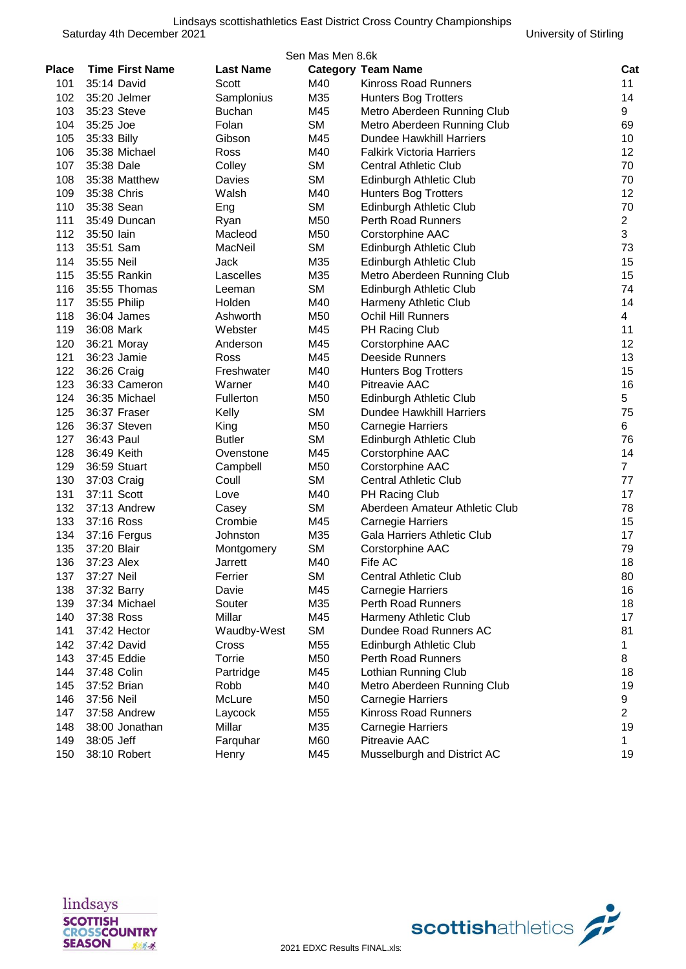|       | Sen Mas Men 8.6k       |                  |           |                                                  |                |  |  |
|-------|------------------------|------------------|-----------|--------------------------------------------------|----------------|--|--|
| Place | <b>Time First Name</b> | <b>Last Name</b> |           | <b>Category Team Name</b>                        | Cat            |  |  |
| 101   | 35:14 David            | Scott            | M40       | <b>Kinross Road Runners</b>                      | 11             |  |  |
| 102   | 35:20 Jelmer           | Samplonius       | M35       | <b>Hunters Bog Trotters</b>                      | 14             |  |  |
| 103   | 35:23 Steve            | <b>Buchan</b>    | M45       | Metro Aberdeen Running Club                      | 9              |  |  |
| 104   | 35:25 Joe              | Folan            | <b>SM</b> | Metro Aberdeen Running Club                      | 69             |  |  |
| 105   | 35:33 Billy            | Gibson           | M45       | Dundee Hawkhill Harriers                         | 10             |  |  |
| 106   | 35:38 Michael          | Ross             | M40       | <b>Falkirk Victoria Harriers</b>                 | 12             |  |  |
| 107   | 35:38 Dale             | Colley           | SM        | <b>Central Athletic Club</b>                     | 70             |  |  |
| 108   | 35:38 Matthew          | Davies           | <b>SM</b> | Edinburgh Athletic Club                          | 70             |  |  |
| 109   | 35:38 Chris            | Walsh            | M40       | <b>Hunters Bog Trotters</b>                      | 12             |  |  |
| 110   | 35:38 Sean             | Eng              | <b>SM</b> | Edinburgh Athletic Club                          | 70             |  |  |
| 111   | 35:49 Duncan           | Ryan             | M50       | <b>Perth Road Runners</b>                        | $\overline{2}$ |  |  |
| 112   | 35:50 lain             | Macleod          | M50       | Corstorphine AAC                                 | 3              |  |  |
| 113   | 35:51 Sam              | MacNeil          | <b>SM</b> | Edinburgh Athletic Club                          | 73             |  |  |
| 114   | 35:55 Neil             | Jack             | M35       | Edinburgh Athletic Club                          | 15             |  |  |
| 115   | 35:55 Rankin           | Lascelles        | M35       | Metro Aberdeen Running Club                      | 15             |  |  |
| 116   | 35:55 Thomas           | Leeman           | <b>SM</b> | Edinburgh Athletic Club                          | 74             |  |  |
| 117   | 35:55 Philip           | Holden           | M40       | Harmeny Athletic Club                            | 14             |  |  |
| 118   | 36:04 James            | Ashworth         | M50       | <b>Ochil Hill Runners</b>                        | 4              |  |  |
| 119   | 36:08 Mark             | Webster          | M45       | PH Racing Club                                   | 11             |  |  |
| 120   | 36:21 Moray            | Anderson         | M45       | Corstorphine AAC                                 | 12             |  |  |
| 121   | 36:23 Jamie            | Ross             | M45       | Deeside Runners                                  | 13             |  |  |
| 122   | 36:26 Craig            | Freshwater       | M40       | <b>Hunters Bog Trotters</b>                      | 15             |  |  |
| 123   | 36:33 Cameron          | Warner           | M40       | <b>Pitreavie AAC</b>                             | 16             |  |  |
| 124   | 36:35 Michael          | Fullerton        | M50       | Edinburgh Athletic Club                          | 5              |  |  |
| 125   | 36:37 Fraser           | Kelly            | <b>SM</b> | <b>Dundee Hawkhill Harriers</b>                  | 75             |  |  |
| 126   | 36:37 Steven           | King             | M50       | <b>Carnegie Harriers</b>                         | 6              |  |  |
| 127   | 36:43 Paul             | <b>Butler</b>    | <b>SM</b> | Edinburgh Athletic Club                          | 76             |  |  |
| 128   | 36:49 Keith            | Ovenstone        | M45       |                                                  | 14             |  |  |
| 129   |                        |                  | M50       | Corstorphine AAC                                 | $\overline{7}$ |  |  |
| 130   | 36:59 Stuart           | Campbell         | <b>SM</b> | Corstorphine AAC<br><b>Central Athletic Club</b> | 77             |  |  |
| 131   | 37:03 Craig            | Coull            | M40       |                                                  | 17             |  |  |
| 132   | 37:11 Scott            | Love             |           | PH Racing Club<br>Aberdeen Amateur Athletic Club | 78             |  |  |
| 133   | 37:13 Andrew           | Casey            | <b>SM</b> |                                                  |                |  |  |
|       | 37:16 Ross             | Crombie          | M45       | <b>Carnegie Harriers</b>                         | 15<br>17       |  |  |
| 134   | 37:16 Fergus           | Johnston         | M35       | Gala Harriers Athletic Club                      |                |  |  |
| 135   | 37:20 Blair            | Montgomery       | <b>SM</b> | Corstorphine AAC                                 | 79             |  |  |
| 136   | 37:23 Alex             | Jarrett          | M40       | Fife AC                                          | 18             |  |  |
| 137   | 37:27 Neil             | Ferrier          | <b>SM</b> | <b>Central Athletic Club</b>                     | 80             |  |  |
| 138   | 37:32 Barry            | Davie            | M45       | <b>Carnegie Harriers</b>                         | 16             |  |  |
| 139   | 37:34 Michael          | Souter           | M35       | Perth Road Runners                               | 18             |  |  |
| 140   | 37:38 Ross             | Millar           | M45       | Harmeny Athletic Club                            | 17             |  |  |
| 141   | 37:42 Hector           | Waudby-West      | <b>SM</b> | Dundee Road Runners AC                           | 81             |  |  |
| 142   | 37:42 David            | Cross            | M55       | Edinburgh Athletic Club                          | $\mathbf{1}$   |  |  |
| 143   | 37:45 Eddie            | Torrie           | M50       | Perth Road Runners                               | 8              |  |  |
| 144   | 37:48 Colin            | Partridge        | M45       | Lothian Running Club                             | 18             |  |  |
| 145   | 37:52 Brian            | Robb             | M40       | Metro Aberdeen Running Club                      | 19             |  |  |
| 146   | 37:56 Neil             | McLure           | M50       | <b>Carnegie Harriers</b>                         | 9              |  |  |
| 147   | 37:58 Andrew           | Laycock          | M55       | Kinross Road Runners                             | $\overline{2}$ |  |  |
| 148   | 38:00 Jonathan         | Millar           | M35       | <b>Carnegie Harriers</b>                         | 19             |  |  |
| 149   | 38:05 Jeff             | Farquhar         | M60       | Pitreavie AAC                                    | $\mathbf{1}$   |  |  |
| 150   | 38:10 Robert           | Henry            | M45       | Musselburgh and District AC                      | 19             |  |  |



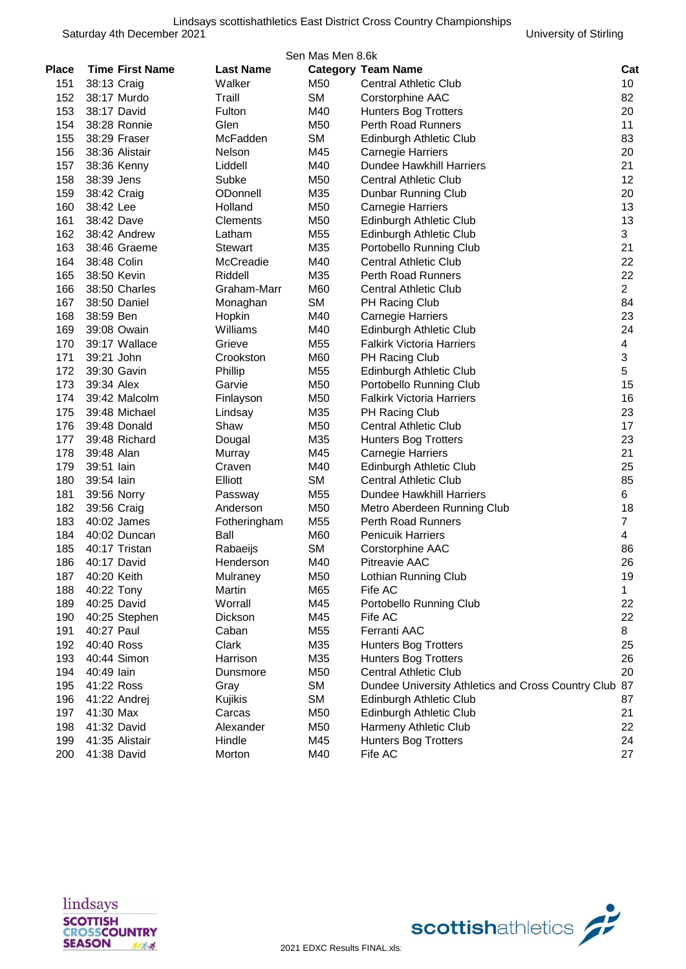|       |                        |                  | Sen Mas Men 8.6k |                                                    |                         |
|-------|------------------------|------------------|------------------|----------------------------------------------------|-------------------------|
| Place | <b>Time First Name</b> | <b>Last Name</b> |                  | <b>Category Team Name</b>                          | Cat                     |
| 151   | 38:13 Craig            | Walker           | M50              | <b>Central Athletic Club</b>                       | 10                      |
| 152   | 38:17 Murdo            | Traill           | <b>SM</b>        | Corstorphine AAC                                   | 82                      |
| 153   | 38:17 David            | Fulton           | M40              | <b>Hunters Bog Trotters</b>                        | 20                      |
| 154   | 38:28 Ronnie           | Glen             | M50              | Perth Road Runners                                 | 11                      |
| 155   | 38:29 Fraser           | McFadden         | <b>SM</b>        | Edinburgh Athletic Club                            | 83                      |
| 156   | 38:36 Alistair         | Nelson           | M45              | <b>Carnegie Harriers</b>                           | 20                      |
| 157   | 38:36 Kenny            | Liddell          | M40              | <b>Dundee Hawkhill Harriers</b>                    | 21                      |
| 158   | 38:39 Jens             | Subke            | M50              | <b>Central Athletic Club</b>                       | 12                      |
| 159   | 38:42 Craig            | ODonnell         | M35              | Dunbar Running Club                                | 20                      |
| 160   | 38:42 Lee              | Holland          | M50              | Carnegie Harriers                                  | 13                      |
| 161   | 38:42 Dave             | Clements         | M50              | Edinburgh Athletic Club                            | 13                      |
| 162   | 38:42 Andrew           | Latham           | M55              | Edinburgh Athletic Club                            | 3                       |
| 163   | 38:46 Graeme           | <b>Stewart</b>   | M35              | Portobello Running Club                            | 21                      |
| 164   | 38:48 Colin            | McCreadie        | M40              | <b>Central Athletic Club</b>                       | 22                      |
| 165   | 38:50 Kevin            | Riddell          | M35              | Perth Road Runners                                 | 22                      |
| 166   | 38:50 Charles          | Graham-Marr      | M60              | <b>Central Athletic Club</b>                       | $\overline{a}$          |
| 167   | 38:50 Daniel           | Monaghan         | SM               | PH Racing Club                                     | 84                      |
| 168   | 38:59 Ben              | Hopkin           | M40              | <b>Carnegie Harriers</b>                           | 23                      |
| 169   | 39:08 Owain            | Williams         | M40              | Edinburgh Athletic Club                            | 24                      |
| 170   | 39:17 Wallace          | Grieve           | M55              | <b>Falkirk Victoria Harriers</b>                   | $\overline{\mathbf{4}}$ |
| 171   | 39:21 John             | Crookston        | M60              | PH Racing Club                                     | 3                       |
| 172   | 39:30 Gavin            | Phillip          | M55              | Edinburgh Athletic Club                            | 5                       |
| 173   | 39:34 Alex             | Garvie           | M50              | Portobello Running Club                            | 15                      |
| 174   | 39:42 Malcolm          | Finlayson        | M50              | <b>Falkirk Victoria Harriers</b>                   | 16                      |
| 175   | 39:48 Michael          | Lindsay          | M35              | PH Racing Club                                     | 23                      |
| 176   | 39:48 Donald           | Shaw             | M50              | <b>Central Athletic Club</b>                       | 17                      |
| 177   | 39:48 Richard          | Dougal           | M35              | <b>Hunters Bog Trotters</b>                        | 23                      |
| 178   | 39:48 Alan             | Murray           | M45              | <b>Carnegie Harriers</b>                           | 21                      |
| 179   | 39:51 lain             | Craven           | M40              | Edinburgh Athletic Club                            | 25                      |
| 180   | 39:54 lain             | Elliott          | <b>SM</b>        | <b>Central Athletic Club</b>                       | 85                      |
| 181   | 39:56 Norry            | Passway          | M55              | Dundee Hawkhill Harriers                           | 6                       |
| 182   | 39:56 Craig            | Anderson         | M50              | Metro Aberdeen Running Club                        | 18                      |
| 183   | 40:02 James            | Fotheringham     | M55              | Perth Road Runners                                 | $\overline{7}$          |
| 184   | 40:02 Duncan           | Ball             | M60              | <b>Penicuik Harriers</b>                           | 4                       |
| 185   | 40:17 Tristan          | Rabaeijs         | <b>SM</b>        | Corstorphine AAC                                   | 86                      |
| 186   | 40:17 David            | Henderson        | M40              | <b>Pitreavie AAC</b>                               | 26                      |
| 187   | 40:20 Keith            | Mulraney         | M50              | Lothian Running Club                               | 19                      |
| 188   | 40:22 Tony             | Martin           | M65              | Fife AC                                            | $\mathbf{1}$            |
| 189   | 40:25 David            | Worrall          | M45              | Portobello Running Club                            | 22                      |
| 190   | 40:25 Stephen          | Dickson          | M45              | Fife AC                                            | 22                      |
| 191   | 40:27 Paul             | Caban            | M55              | Ferranti AAC                                       | 8                       |
| 192   | 40:40 Ross             | Clark            | M35              | <b>Hunters Bog Trotters</b>                        | 25                      |
| 193   | 40:44 Simon            | Harrison         | M35              | <b>Hunters Bog Trotters</b>                        | 26                      |
| 194   | 40:49 lain             | Dunsmore         | M50              | <b>Central Athletic Club</b>                       | 20                      |
| 195   | 41:22 Ross             | Gray             | SM               | Dundee University Athletics and Cross Country Club | 87                      |
| 196   | 41:22 Andrej           | Kujikis          | SM               | Edinburgh Athletic Club                            | 87                      |
| 197   | 41:30 Max              | Carcas           | M50              | Edinburgh Athletic Club                            | 21                      |
| 198   | 41:32 David            | Alexander        | M50              | Harmeny Athletic Club                              | 22                      |
| 199   | 41:35 Alistair         | Hindle           | M45              | <b>Hunters Bog Trotters</b>                        | 24                      |
| 200   | 41:38 David            | Morton           | M40              | Fife AC                                            | 27                      |



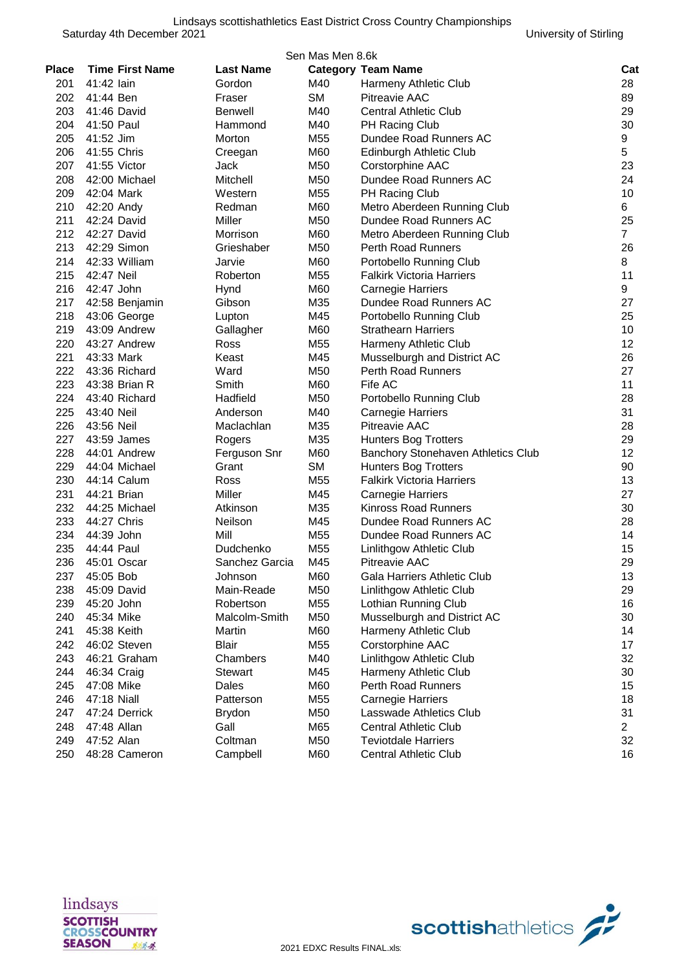|              |                        |                  | Sen Mas Men 8.6k |                                    |                |
|--------------|------------------------|------------------|------------------|------------------------------------|----------------|
| <b>Place</b> | <b>Time First Name</b> | <b>Last Name</b> |                  | <b>Category Team Name</b>          | Cat            |
| 201          | 41:42 lain             | Gordon           | M40              | Harmeny Athletic Club              | 28             |
| 202          | 41:44 Ben              | Fraser           | <b>SM</b>        | <b>Pitreavie AAC</b>               | 89             |
| 203          | 41:46 David            | <b>Benwell</b>   | M40              | <b>Central Athletic Club</b>       | 29             |
| 204          | 41:50 Paul             | Hammond          | M40              | PH Racing Club                     | 30             |
| 205          | 41:52 Jim              | Morton           | M <sub>55</sub>  | Dundee Road Runners AC             | 9              |
| 206          | 41:55 Chris            | Creegan          | M60              | Edinburgh Athletic Club            | 5              |
| 207          | 41:55 Victor           | Jack             | M50              | Corstorphine AAC                   | 23             |
| 208          | 42:00 Michael          | Mitchell         | M50              | Dundee Road Runners AC             | 24             |
| 209          | 42:04 Mark             | Western          | M <sub>55</sub>  | PH Racing Club                     | 10             |
| 210          | 42:20 Andy             | Redman           | M60              | Metro Aberdeen Running Club        | 6              |
| 211          | 42:24 David            | Miller           | M50              | Dundee Road Runners AC             | 25             |
| 212          | 42:27 David            | Morrison         | M60              | Metro Aberdeen Running Club        | $\overline{7}$ |
| 213          | 42:29 Simon            | Grieshaber       | M50              | <b>Perth Road Runners</b>          | 26             |
| 214          | 42:33 William          | Jarvie           | M60              | Portobello Running Club            | 8              |
| 215          | 42:47 Neil             | Roberton         | M55              | <b>Falkirk Victoria Harriers</b>   | 11             |
| 216          | 42:47 John             | Hynd             | M60              | <b>Carnegie Harriers</b>           | 9              |
| 217          | 42:58 Benjamin         | Gibson           | M35              | Dundee Road Runners AC             | 27             |
| 218          | 43:06 George           | Lupton           | M45              | Portobello Running Club            | 25             |
| 219          | 43:09 Andrew           | Gallagher        | M60              | <b>Strathearn Harriers</b>         | 10             |
| 220          | 43:27 Andrew           | Ross             | M55              | Harmeny Athletic Club              | 12             |
| 221          | 43:33 Mark             | Keast            | M45              | Musselburgh and District AC        | 26             |
| 222          | 43:36 Richard          | Ward             | M50              | Perth Road Runners                 | 27             |
| 223          | 43:38 Brian R          | Smith            | M60              | Fife AC                            | 11             |
| 224          | 43:40 Richard          | Hadfield         | M50              | Portobello Running Club            | 28             |
| 225          | 43:40 Neil             | Anderson         | M40              | <b>Carnegie Harriers</b>           | 31             |
| 226          | 43:56 Neil             | Maclachlan       | M35              | <b>Pitreavie AAC</b>               | 28             |
| 227          | 43:59 James            | Rogers           | M35              | <b>Hunters Bog Trotters</b>        | 29             |
| 228          | 44:01 Andrew           | Ferguson Snr     | M60              | Banchory Stonehaven Athletics Club | 12             |
| 229          | 44:04 Michael          | Grant            | <b>SM</b>        | <b>Hunters Bog Trotters</b>        | 90             |
| 230          | 44:14 Calum            | Ross             | M55              | <b>Falkirk Victoria Harriers</b>   | 13             |
| 231          | 44:21 Brian            | Miller           | M45              | <b>Carnegie Harriers</b>           | 27             |
| 232          | 44:25 Michael          | Atkinson         | M35              | <b>Kinross Road Runners</b>        | 30             |
| 233          | 44:27 Chris            | Neilson          | M45              | Dundee Road Runners AC             | 28             |
| 234          | 44:39 John             | Mill             | M <sub>55</sub>  | Dundee Road Runners AC             | 14             |
| 235          | 44:44 Paul             | Dudchenko        | M <sub>55</sub>  | Linlithgow Athletic Club           | 15             |
|              | 236 45:01 Oscar        | Sanchez Garcia   | M45              | Pitreavie AAC                      | 29             |
| 237          | 45:05 Bob              | Johnson          | M60              | Gala Harriers Athletic Club        | 13             |
| 238          | 45:09 David            | Main-Reade       | M50              | Linlithgow Athletic Club           | 29             |
| 239          | 45:20 John             | Robertson        | M55              | Lothian Running Club               | 16             |
| 240          | 45:34 Mike             | Malcolm-Smith    | M50              | Musselburgh and District AC        | 30             |
| 241          | 45:38 Keith            | Martin           | M60              | Harmeny Athletic Club              | 14             |
| 242          | 46:02 Steven           | Blair            | M55              | Corstorphine AAC                   | 17             |
| 243          | 46:21 Graham           | Chambers         | M40              | Linlithgow Athletic Club           | 32             |
| 244          | 46:34 Craig            | <b>Stewart</b>   | M45              | Harmeny Athletic Club              | 30             |
| 245          | 47:08 Mike             | Dales            | M60              | <b>Perth Road Runners</b>          | 15             |
| 246          | 47:18 Niall            | Patterson        | M55              | Carnegie Harriers                  | 18             |
| 247          | 47:24 Derrick          | <b>Brydon</b>    | M50              | Lasswade Athletics Club            | 31             |
| 248          | 47:48 Allan            | Gall             | M65              | <b>Central Athletic Club</b>       | $\overline{2}$ |
| 249          | 47:52 Alan             | Coltman          | M50              | <b>Teviotdale Harriers</b>         | 32             |
| 250          | 48:28 Cameron          | Campbell         | M60              | Central Athletic Club              | 16             |



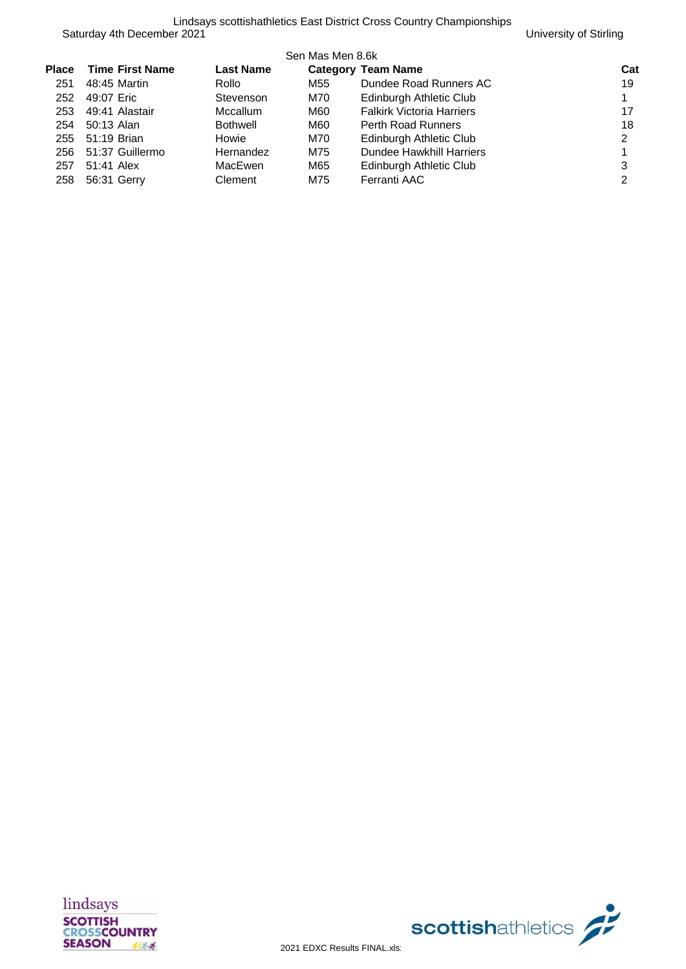|       |                        |                  | Sen Mas Men 8.6k |                                  |     |
|-------|------------------------|------------------|------------------|----------------------------------|-----|
| Place | <b>Time First Name</b> | <b>Last Name</b> |                  | <b>Category Team Name</b>        | Cat |
| 251   | 48:45 Martin           | Rollo            | M55              | Dundee Road Runners AC           | 19  |
| 252   | 49:07 Eric             | Stevenson        | M70              | Edinburgh Athletic Club          |     |
| 253   | 49:41 Alastair         | <b>Mccallum</b>  | M60              | <b>Falkirk Victoria Harriers</b> | 17  |
| 254   | 50:13 Alan             | Bothwell         | M60              | <b>Perth Road Runners</b>        | 18  |
| 255   | 51:19 Brian            | Howie            | M70              | Edinburgh Athletic Club          | 2   |
| 256   | 51:37 Guillermo        | Hernandez        | M75              | Dundee Hawkhill Harriers         |     |
| 257   | 51:41 Alex             | MacEwen          | M65              | Edinburgh Athletic Club          | 3   |
| 258   | 56:31 Gerry            | Clement          | M75              | Ferranti AAC                     | 2   |

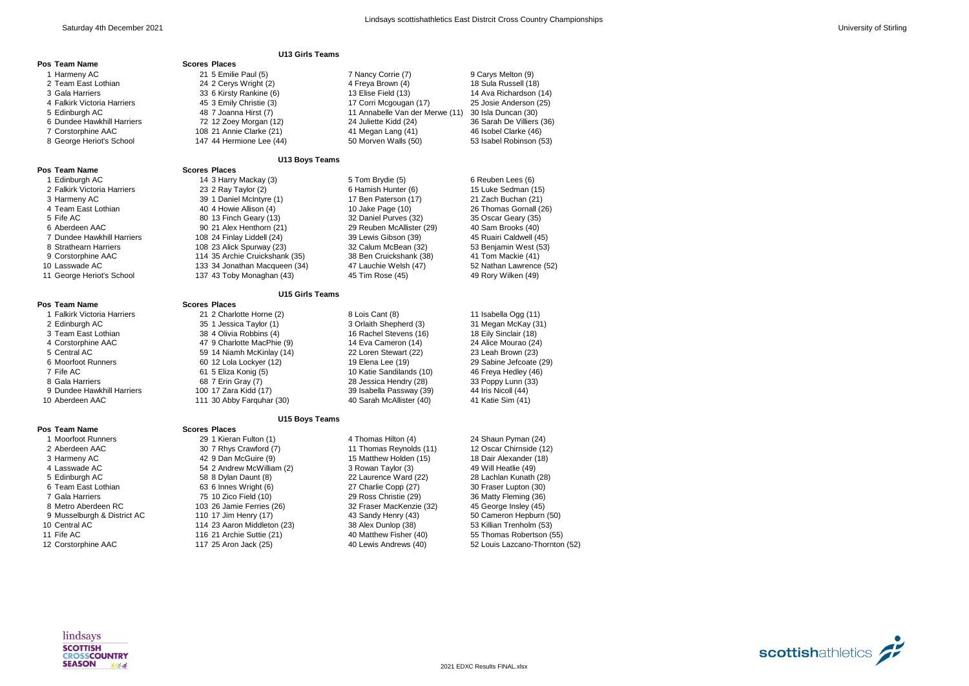|                             | <b>U13 Girls Teams</b>         |                                 |                                |
|-----------------------------|--------------------------------|---------------------------------|--------------------------------|
| Pos Team Name               | <b>Scores Places</b>           |                                 |                                |
| 1 Harmeny AC                | 21 5 Emilie Paul (5)           | 7 Nancy Corrie (7)              | 9 Carys Melton (9)             |
| 2 Team East Lothian         | 24 2 Cerys Wright (2)          | 4 Freya Brown (4)               | 18 Sula Russell (18)           |
| 3 Gala Harriers             | 33 6 Kirsty Rankine (6)        | 13 Elise Field (13)             | 14 Ava Richardson (14)         |
| 4 Falkirk Victoria Harriers | 45 3 Emily Christie (3)        | 17 Corri Mcgougan (17)          | 25 Josie Anderson (25)         |
| 5 Edinburgh AC              | 48 7 Joanna Hirst (7)          | 11 Annabelle Van der Merwe (11) | 30 Isla Duncan (30)            |
| 6 Dundee Hawkhill Harriers  | 72 12 Zoey Morgan (12)         | 24 Juliette Kidd (24)           | 36 Sarah De Villiers (36)      |
| 7 Corstorphine AAC          | 108 21 Annie Clarke (21)       | 41 Megan Lang (41)              | 46 Isobel Clarke (46)          |
| 8 George Heriot's School    | 147 44 Hermione Lee (44)       | 50 Morven Walls (50)            | 53 Isabel Robinson (53)        |
|                             | <b>U13 Boys Teams</b>          |                                 |                                |
| Pos Team Name               | <b>Scores Places</b>           |                                 |                                |
| 1 Edinburgh AC              | 14 3 Harry Mackay (3)          | 5 Tom Brydie (5)                | 6 Reuben Lees (6)              |
| 2 Falkirk Victoria Harriers | 23 2 Ray Taylor (2)            | 6 Hamish Hunter (6)             | 15 Luke Sedman (15)            |
| 3 Harmeny AC                | 39 1 Daniel McIntyre (1)       | 17 Ben Paterson (17)            | 21 Zach Buchan (21)            |
| 4 Team East Lothian         | 40 4 Howie Allison (4)         | 10 Jake Page (10)               | 26 Thomas Gornall (26)         |
| 5 Fife AC                   | 80 13 Finch Geary (13)         | 32 Daniel Purves (32)           | 35 Oscar Geary (35)            |
| 6 Aberdeen AAC              | 90 21 Alex Henthorn (21)       | 29 Reuben McAllister (29)       | 40 Sam Brooks (40)             |
| 7 Dundee Hawkhill Harriers  | 108 24 Finlay Liddell (24)     | 39 Lewis Gibson (39)            | 45 Ruairi Caldwell (45)        |
| 8 Strathearn Harriers       | 108 23 Alick Spurway (23)      | 32 Calum McBean (32)            | 53 Benjamin West (53)          |
| 9 Corstorphine AAC          | 114 35 Archie Cruickshank (35) | 38 Ben Cruickshank (38)         | 41 Tom Mackie (41)             |
| 10 Lasswade AC              | 133 34 Jonathan Macqueen (34)  | 47 Lauchie Welsh (47)           | 52 Nathan Lawrence (52)        |
| 11 George Heriot's School   | 137 43 Toby Monaghan (43)      | 45 Tim Rose (45)                | 49 Rory Wilken (49)            |
|                             | <b>U15 Girls Teams</b>         |                                 |                                |
| Pos Team Name               | <b>Scores Places</b>           |                                 |                                |
| 1 Falkirk Victoria Harriers | 21 2 Charlotte Horne (2)       | 8 Lois Cant (8)                 | 11 Isabella Ogg (11)           |
| 2 Edinburgh AC              | 35 1 Jessica Taylor (1)        | 3 Orlaith Shepherd (3)          | 31 Megan McKay (31)            |
| 3 Team East Lothian         | 38 4 Olivia Robbins (4)        | 16 Rachel Stevens (16)          | 18 Eily Sinclair (18)          |
| 4 Corstorphine AAC          | 47 9 Charlotte MacPhie (9)     | 14 Eva Cameron (14)             | 24 Alice Mourao (24)           |
| 5 Central AC                | 59 14 Niamh McKinlay (14)      | 22 Loren Stewart (22)           | 23 Leah Brown (23)             |
| 6 Moorfoot Runners          | 60 12 Lola Lockyer (12)        | 19 Elena Lee (19)               | 29 Sabine Jefcoate (29)        |
| 7 Fife AC                   | 61 5 Eliza Konig (5)           | 10 Katie Sandilands (10)        | 46 Freya Hedley (46)           |
| 8 Gala Harriers             | 68 7 Erin Gray (7)             | 28 Jessica Hendry (28)          | 33 Poppy Lunn (33)             |
| 9 Dundee Hawkhill Harriers  | 100 17 Zara Kidd (17)          | 39 Isabella Passway (39)        | 44 Iris Nicoll (44)            |
| 10 Aberdeen AAC             | 111 30 Abby Farguhar (30)      | 40 Sarah McAllister (40)        | 41 Katie Sim (41)              |
|                             | U15 Boys Teams                 |                                 |                                |
| Pos Team Name               | <b>Scores Places</b>           |                                 |                                |
| 1 Moorfoot Runners          | 29 1 Kieran Fulton (1)         | 4 Thomas Hilton (4)             | 24 Shaun Pyman (24)            |
| 2 Aberdeen AAC              | 30 7 Rhys Crawford (7)         | 11 Thomas Reynolds (11)         | 12 Oscar Chirnside (12)        |
| 3 Harmeny AC                | 42 9 Dan McGuire (9)           | 15 Matthew Holden (15)          | 18 Dair Alexander (18)         |
| 4 Lasswade AC               | 54 2 Andrew McWilliam (2)      | 3 Rowan Taylor (3)              | 49 Will Heatlie (49)           |
| 5 Edinburgh AC              | 58 8 Dylan Daunt (8)           | 22 Laurence Ward (22)           | 28 Lachlan Kunath (28)         |
| 6 Team East Lothian         | 63 6 Innes Wright (6)          | 27 Charlie Copp (27)            | 30 Fraser Lupton (30)          |
| 7 Gala Harriers             | 75 10 Zico Field (10)          | 29 Ross Christie (29)           | 36 Matty Fleming (36)          |
| 8 Metro Aberdeen RC         | 103 26 Jamie Ferries (26)      | 32 Fraser MacKenzie (32)        | 45 George Insley (45)          |
| 9 Musselburgh & District AC | 110 17 Jim Henry (17)          | 43 Sandy Henry (43)             | 50 Cameron Hepburn (50)        |
| 10 Central AC               | 114 23 Aaron Middleton (23)    | 38 Alex Dunlop (38)             | 53 Killian Trenholm (53)       |
| 11 Fife AC                  | 116 21 Archie Suttie (21)      | 40 Matthew Fisher (40)          | 55 Thomas Robertson (55)       |
| 12 Corstorphine AAC         | 117 25 Aron Jack (25)          | 40 Lewis Andrews (40)           | 52 Louis Lazcano-Thornton (52) |



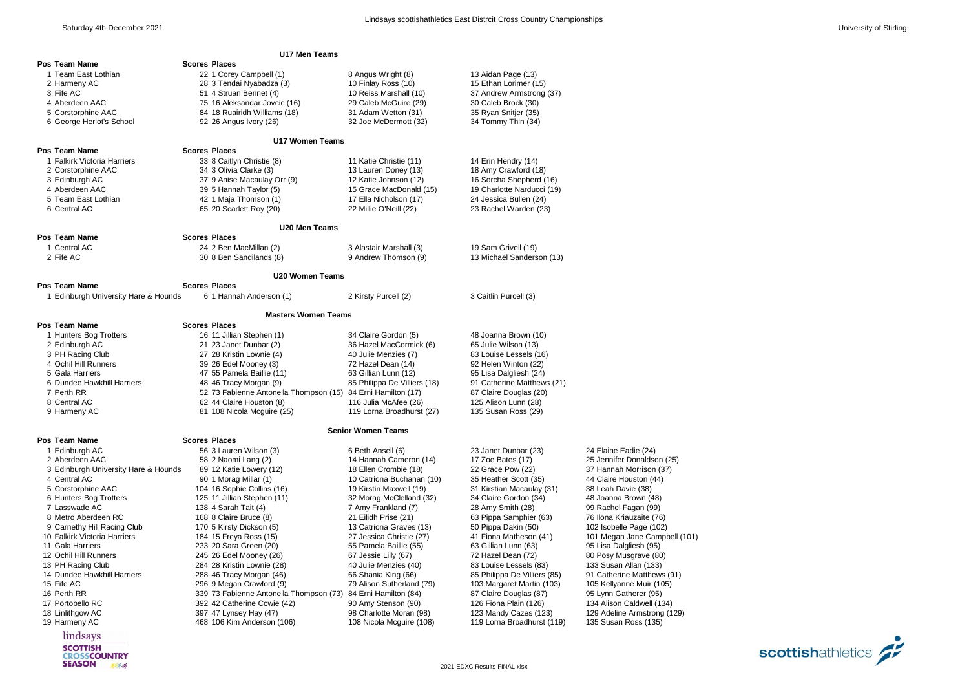| U17 Men Teams                              |                                                              |                                               |                                              |                                                |  |  |
|--------------------------------------------|--------------------------------------------------------------|-----------------------------------------------|----------------------------------------------|------------------------------------------------|--|--|
| Pos Team Name                              | <b>Scores Places</b>                                         |                                               |                                              |                                                |  |  |
| 1 Team East Lothian                        | 22 1 Corey Campbell (1)                                      | 8 Angus Wright (8)                            | 13 Aidan Page (13)                           |                                                |  |  |
| 2 Harmeny AC                               | 28 3 Tendai Nyabadza (3)                                     | 10 Finlay Ross (10)                           | 15 Ethan Lorimer (15)                        |                                                |  |  |
| 3 Fife AC                                  | 51 4 Struan Bennet (4)                                       | 10 Reiss Marshall (10)                        | 37 Andrew Armstrong (37)                     |                                                |  |  |
| 4 Aberdeen AAC                             | 75 16 Aleksandar Jovcic (16)                                 | 29 Caleb McGuire (29)                         | 30 Caleb Brock (30)                          |                                                |  |  |
| 5 Corstorphine AAC                         | 84 18 Ruairidh Williams (18)                                 | 31 Adam Wetton (31)                           | 35 Ryan Snitjer (35)                         |                                                |  |  |
| 6 George Heriot's School                   | 92 26 Angus Ivory (26)                                       | 32 Joe McDermott (32)                         | 34 Tommy Thin (34)                           |                                                |  |  |
|                                            |                                                              |                                               |                                              |                                                |  |  |
|                                            | <b>U17 Women Teams</b>                                       |                                               |                                              |                                                |  |  |
| Pos Team Name                              | <b>Scores Places</b>                                         |                                               |                                              |                                                |  |  |
| 1 Falkirk Victoria Harriers                | 33 8 Caitlyn Christie (8)                                    | 11 Katie Christie (11)                        | 14 Erin Hendry (14)                          |                                                |  |  |
| 2 Corstorphine AAC                         | 34 3 Olivia Clarke (3)                                       | 13 Lauren Doney (13)                          | 18 Amy Crawford (18)                         |                                                |  |  |
| 3 Edinburgh AC                             | 37 9 Anise Macaulay Orr (9)                                  | 12 Katie Johnson (12)                         | 16 Sorcha Shepherd (16)                      |                                                |  |  |
| 4 Aberdeen AAC                             | 39 5 Hannah Taylor (5)                                       | 15 Grace MacDonald (15)                       | 19 Charlotte Narducci (19)                   |                                                |  |  |
| 5 Team East Lothian                        | 42 1 Maja Thomson (1)                                        | 17 Ella Nicholson (17)                        | 24 Jessica Bullen (24)                       |                                                |  |  |
| 6 Central AC                               | 65 20 Scarlett Roy (20)                                      | 22 Millie O'Neill (22)                        | 23 Rachel Warden (23)                        |                                                |  |  |
|                                            |                                                              |                                               |                                              |                                                |  |  |
|                                            | U20 Men Teams                                                |                                               |                                              |                                                |  |  |
| Pos Team Name                              | <b>Scores Places</b>                                         |                                               |                                              |                                                |  |  |
| 1 Central AC                               | 24 2 Ben MacMillan (2)                                       | 3 Alastair Marshall (3)                       | 19 Sam Grivell (19)                          |                                                |  |  |
| 2 Fife AC                                  | 30 8 Ben Sandilands (8)                                      | 9 Andrew Thomson (9)                          | 13 Michael Sanderson (13)                    |                                                |  |  |
|                                            | <b>U20 Women Teams</b>                                       |                                               |                                              |                                                |  |  |
| Pos Team Name                              | <b>Scores Places</b>                                         |                                               |                                              |                                                |  |  |
| 1 Edinburgh University Hare & Hounds       | 6 1 Hannah Anderson (1)                                      | 2 Kirsty Purcell (2)                          | 3 Caitlin Purcell (3)                        |                                                |  |  |
|                                            |                                                              |                                               |                                              |                                                |  |  |
|                                            | <b>Masters Women Teams</b>                                   |                                               |                                              |                                                |  |  |
| Pos Team Name                              | <b>Scores Places</b>                                         |                                               |                                              |                                                |  |  |
| 1 Hunters Bog Trotters                     | 16 11 Jillian Stephen (1)                                    | 34 Claire Gordon (5)                          | 48 Joanna Brown (10)                         |                                                |  |  |
| 2 Edinburgh AC                             | 21 23 Janet Dunbar (2)                                       | 36 Hazel MacCormick (6)                       | 65 Julie Wilson (13)                         |                                                |  |  |
| 3 PH Racing Club                           | 27 28 Kristin Lownie (4)                                     | 40 Julie Menzies (7)                          | 83 Louise Lessels (16)                       |                                                |  |  |
| 4 Ochil Hill Runners                       | 39 26 Edel Mooney (3)                                        | 72 Hazel Dean (14)                            | 92 Helen Winton (22)                         |                                                |  |  |
| 5 Gala Harriers                            | 47 55 Pamela Baillie (11)                                    | 63 Gillian Lunn (12)                          | 95 Lisa Dalgliesh (24)                       |                                                |  |  |
| 6 Dundee Hawkhill Harriers                 | 48 46 Tracy Morgan (9)                                       | 85 Philippa De Villiers (18)                  | 91 Catherine Matthews (21)                   |                                                |  |  |
| 7 Perth RR                                 | 52 73 Fabienne Antonella Thompson (15) 84 Erni Hamilton (17) |                                               | 87 Claire Douglas (20)                       |                                                |  |  |
| 8 Central AC                               | 62 44 Claire Houston (8)                                     | 116 Julia McAfee (26)                         | 125 Alison Lunn (28)                         |                                                |  |  |
| 9 Harmeny AC                               | 81 108 Nicola Mcguire (25)                                   | 119 Lorna Broadhurst (27)                     | 135 Susan Ross (29)                          |                                                |  |  |
|                                            |                                                              |                                               |                                              |                                                |  |  |
|                                            |                                                              | <b>Senior Women Teams</b>                     |                                              |                                                |  |  |
| Pos Team Name                              | <b>Scores Places</b>                                         |                                               |                                              |                                                |  |  |
| 1 Edinburgh AC                             | 56 3 Lauren Wilson (3)                                       | 6 Beth Ansell (6)                             | 23 Janet Dunbar (23)                         | 24 Elaine Eadie (24)                           |  |  |
| 2 Aberdeen AAC                             | 58 2 Naomi Lang (2)                                          | 14 Hannah Cameron (14)                        | 17 Zoe Bates (17)                            | 25 Jennifer Donaldson (25)                     |  |  |
| 3 Edinburgh University Hare & Hounds       | 89 12 Katie Lowery (12)                                      | 18 Ellen Crombie (18)                         | 22 Grace Pow (22)                            | 37 Hannah Morrison (37)                        |  |  |
| 4 Central AC                               | 90 1 Morag Millar (1)                                        | 10 Catriona Buchanan (10)                     | 35 Heather Scott (35)                        | 44 Claire Houston (44)                         |  |  |
| 5 Corstorphine AAC                         | 104 16 Sophie Collins (16)                                   | 19 Kirstin Maxwell (19)                       | 31 Kirstian Macaulay (31)                    | 38 Leah Davie (38)                             |  |  |
| 6 Hunters Bog Trotters                     | 125 11 Jillian Stephen (11)                                  | 32 Morag McClelland (32)                      | 34 Claire Gordon (34)                        | 48 Joanna Brown (48)                           |  |  |
| 7 Lasswade AC                              | 138 4 Sarah Tait (4)                                         | 7 Amy Frankland (7)                           | 28 Amy Smith (28)                            | 99 Rachel Fagan (99)                           |  |  |
| 8 Metro Aberdeen RC                        | 168 8 Claire Bruce (8)                                       | 21 Eilidh Prise (21)                          | 63 Pippa Samphier (63)                       | 76 Ilona Kriauzaite (76)                       |  |  |
| 9 Carnethy Hill Racing Club                | 170 5 Kirsty Dickson (5)                                     | 13 Catriona Graves (13)                       | 50 Pippa Dakin (50)                          | 102 Isobelle Page (102)                        |  |  |
| 10 Falkirk Victoria Harriers               | 184 15 Freya Ross (15)                                       | 27 Jessica Christie (27)                      | 41 Fiona Matheson (41)                       | 101 Megan Jane Campbell (101)                  |  |  |
| 11 Gala Harriers                           | 233 20 Sara Green (20)                                       | 55 Pamela Baillie (55)                        | 63 Gillian Lunn (63)                         | 95 Lisa Dalgliesh (95)                         |  |  |
| 12 Ochil Hill Runners<br>13 PH Racing Club | 245 26 Edel Mooney (26)<br>284 28 Kristin Lownie (28)        | 67 Jessie Lilly (67)<br>40 Julie Menzies (40) | 72 Hazel Dean (72)<br>83 Louise Lessels (83) | 80 Posy Musgrave (80)<br>133 Susan Allan (133) |  |  |
| 14 Dundee Hawkhill Harriers                | 288 46 Tracy Morgan (46)                                     | 66 Shania King (66)                           | 85 Philippa De Villiers (85)                 | 91 Catherine Matthews (91)                     |  |  |
| 15 Fife AC                                 | 296 9 Megan Crawford (9)                                     | 79 Alison Sutherland (79)                     | 103 Margaret Martin (103)                    | 105 Kellyanne Muir (105)                       |  |  |
| 16 Perth RR                                | 339 73 Fabienne Antonella Thompson (73)                      | 84 Erni Hamilton (84)                         | 87 Claire Douglas (87)                       | 95 Lynn Gatherer (95)                          |  |  |
| 17 Portobello RC                           | 392 42 Catherine Cowie (42)                                  | 90 Amy Stenson (90)                           | 126 Fiona Plain (126)                        | 134 Alison Caldwell (134)                      |  |  |
| 18 Linlithgow AC                           | 397 47 Lynsey Hay (47)                                       | 98 Charlotte Moran (98)                       | 123 Mandy Cazes (123)                        | 129 Adeline Armstrong (129)                    |  |  |
| 19 Harmeny AC                              | 468 106 Kim Anderson (106)                                   | 108 Nicola Mcguire (108)                      | 119 Lorna Broadhurst (119)                   | 135 Susan Ross (135)                           |  |  |
|                                            |                                                              |                                               |                                              |                                                |  |  |